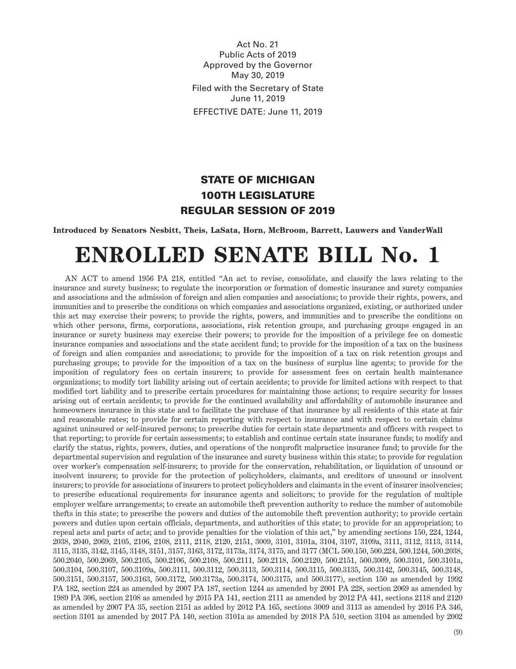Act No. 21 Public Acts of 2019 Approved by the Governor May 30, 2019 Filed with the Secretary of State June 11, 2019 EFFECTIVE DATE: June 11, 2019

# STATE OF MICHIGAN 100TH LEGISLATURE REGULAR SESSION OF 2019

# **Introduced by Senators Nesbitt, Theis, LaSata, Horn, McBroom, Barrett, Lauwers and VanderWall**

# **ENROLLED SENATE BILL No. 1**

AN ACT to amend 1956 PA 218, entitled "An act to revise, consolidate, and classify the laws relating to the insurance and surety business; to regulate the incorporation or formation of domestic insurance and surety companies and associations and the admission of foreign and alien companies and associations; to provide their rights, powers, and immunities and to prescribe the conditions on which companies and associations organized, existing, or authorized under this act may exercise their powers; to provide the rights, powers, and immunities and to prescribe the conditions on which other persons, firms, corporations, associations, risk retention groups, and purchasing groups engaged in an insurance or surety business may exercise their powers; to provide for the imposition of a privilege fee on domestic insurance companies and associations and the state accident fund; to provide for the imposition of a tax on the business of foreign and alien companies and associations; to provide for the imposition of a tax on risk retention groups and purchasing groups; to provide for the imposition of a tax on the business of surplus line agents; to provide for the imposition of regulatory fees on certain insurers; to provide for assessment fees on certain health maintenance organizations; to modify tort liability arising out of certain accidents; to provide for limited actions with respect to that modified tort liability and to prescribe certain procedures for maintaining those actions; to require security for losses arising out of certain accidents; to provide for the continued availability and affordability of automobile insurance and homeowners insurance in this state and to facilitate the purchase of that insurance by all residents of this state at fair and reasonable rates; to provide for certain reporting with respect to insurance and with respect to certain claims against uninsured or self-insured persons; to prescribe duties for certain state departments and officers with respect to that reporting; to provide for certain assessments; to establish and continue certain state insurance funds; to modify and clarify the status, rights, powers, duties, and operations of the nonprofit malpractice insurance fund; to provide for the departmental supervision and regulation of the insurance and surety business within this state; to provide for regulation over worker's compensation self-insurers; to provide for the conservation, rehabilitation, or liquidation of unsound or insolvent insurers; to provide for the protection of policyholders, claimants, and creditors of unsound or insolvent insurers; to provide for associations of insurers to protect policyholders and claimants in the event of insurer insolvencies; to prescribe educational requirements for insurance agents and solicitors; to provide for the regulation of multiple employer welfare arrangements; to create an automobile theft prevention authority to reduce the number of automobile thefts in this state; to prescribe the powers and duties of the automobile theft prevention authority; to provide certain powers and duties upon certain officials, departments, and authorities of this state; to provide for an appropriation; to repeal acts and parts of acts; and to provide penalties for the violation of this act," by amending sections 150, 224, 1244, 2038, 2040, 2069, 2105, 2106, 2108, 2111, 2118, 2120, 2151, 3009, 3101, 3101a, 3104, 3107, 3109a, 3111, 3112, 3113, 3114, 3115, 3135, 3142, 3145, 3148, 3151, 3157, 3163, 3172, 3173a, 3174, 3175, and 3177 (MCL 500.150, 500.224, 500.1244, 500.2038, 500.2040, 500.2069, 500.2105, 500.2106, 500.2108, 500.2111, 500.2118, 500.2120, 500.2151, 500.3009, 500.3101, 500.3101a, 500.3104, 500.3107, 500.3109a, 500.3111, 500.3112, 500.3113, 500.3114, 500.3115, 500.3135, 500.3142, 500.3145, 500.3148, 500.3151, 500.3157, 500.3163, 500.3172, 500.3173a, 500.3174, 500.3175, and 500.3177), section 150 as amended by 1992 PA 182, section 224 as amended by 2007 PA 187, section 1244 as amended by 2001 PA 228, section 2069 as amended by 1989 PA 306, section 2108 as amended by 2015 PA 141, section 2111 as amended by 2012 PA 441, sections 2118 and 2120 as amended by 2007 PA 35, section 2151 as added by 2012 PA 165, sections 3009 and 3113 as amended by 2016 PA 346, section 3101 as amended by 2017 PA 140, section 3101a as amended by 2018 PA 510, section 3104 as amended by 2002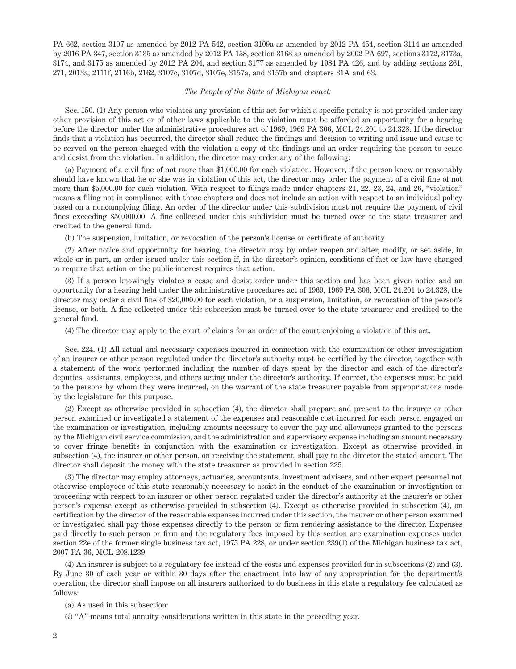PA 662, section 3107 as amended by 2012 PA 542, section 3109a as amended by 2012 PA 454, section 3114 as amended by 2016 PA 347, section 3135 as amended by 2012 PA 158, section 3163 as amended by 2002 PA 697, sections 3172, 3173a, 3174, and 3175 as amended by 2012 PA 204, and section 3177 as amended by 1984 PA 426, and by adding sections 261, 271, 2013a, 2111f, 2116b, 2162, 3107c, 3107d, 3107e, 3157a, and 3157b and chapters 31A and 63.

### *The People of the State of Michigan enact:*

Sec. 150. (1) Any person who violates any provision of this act for which a specific penalty is not provided under any other provision of this act or of other laws applicable to the violation must be afforded an opportunity for a hearing before the director under the administrative procedures act of 1969, 1969 PA 306, MCL 24.201 to 24.328. If the director finds that a violation has occurred, the director shall reduce the findings and decision to writing and issue and cause to be served on the person charged with the violation a copy of the findings and an order requiring the person to cease and desist from the violation. In addition, the director may order any of the following:

(a) Payment of a civil fine of not more than \$1,000.00 for each violation. However, if the person knew or reasonably should have known that he or she was in violation of this act, the director may order the payment of a civil fine of not more than \$5,000.00 for each violation. With respect to filings made under chapters 21, 22, 23, 24, and 26, "violation" means a filing not in compliance with those chapters and does not include an action with respect to an individual policy based on a noncomplying filing. An order of the director under this subdivision must not require the payment of civil fines exceeding \$50,000.00. A fine collected under this subdivision must be turned over to the state treasurer and credited to the general fund.

(b) The suspension, limitation, or revocation of the person's license or certificate of authority.

(2) After notice and opportunity for hearing, the director may by order reopen and alter, modify, or set aside, in whole or in part, an order issued under this section if, in the director's opinion, conditions of fact or law have changed to require that action or the public interest requires that action.

(3) If a person knowingly violates a cease and desist order under this section and has been given notice and an opportunity for a hearing held under the administrative procedures act of 1969, 1969 PA 306, MCL 24.201 to 24.328, the director may order a civil fine of \$20,000.00 for each violation, or a suspension, limitation, or revocation of the person's license, or both. A fine collected under this subsection must be turned over to the state treasurer and credited to the general fund.

(4) The director may apply to the court of claims for an order of the court enjoining a violation of this act.

Sec. 224. (1) All actual and necessary expenses incurred in connection with the examination or other investigation of an insurer or other person regulated under the director's authority must be certified by the director, together with a statement of the work performed including the number of days spent by the director and each of the director's deputies, assistants, employees, and others acting under the director's authority. If correct, the expenses must be paid to the persons by whom they were incurred, on the warrant of the state treasurer payable from appropriations made by the legislature for this purpose.

(2) Except as otherwise provided in subsection (4), the director shall prepare and present to the insurer or other person examined or investigated a statement of the expenses and reasonable cost incurred for each person engaged on the examination or investigation, including amounts necessary to cover the pay and allowances granted to the persons by the Michigan civil service commission, and the administration and supervisory expense including an amount necessary to cover fringe benefits in conjunction with the examination or investigation. Except as otherwise provided in subsection (4), the insurer or other person, on receiving the statement, shall pay to the director the stated amount. The director shall deposit the money with the state treasurer as provided in section 225.

(3) The director may employ attorneys, actuaries, accountants, investment advisers, and other expert personnel not otherwise employees of this state reasonably necessary to assist in the conduct of the examination or investigation or proceeding with respect to an insurer or other person regulated under the director's authority at the insurer's or other person's expense except as otherwise provided in subsection (4). Except as otherwise provided in subsection (4), on certification by the director of the reasonable expenses incurred under this section, the insurer or other person examined or investigated shall pay those expenses directly to the person or firm rendering assistance to the director. Expenses paid directly to such person or firm and the regulatory fees imposed by this section are examination expenses under section 22e of the former single business tax act, 1975 PA 228, or under section 239(1) of the Michigan business tax act, 2007 PA 36, MCL 208.1239.

(4) An insurer is subject to a regulatory fee instead of the costs and expenses provided for in subsections (2) and (3). By June 30 of each year or within 30 days after the enactment into law of any appropriation for the department's operation, the director shall impose on all insurers authorized to do business in this state a regulatory fee calculated as follows:

(a) As used in this subsection:

(*i*) "A" means total annuity considerations written in this state in the preceding year.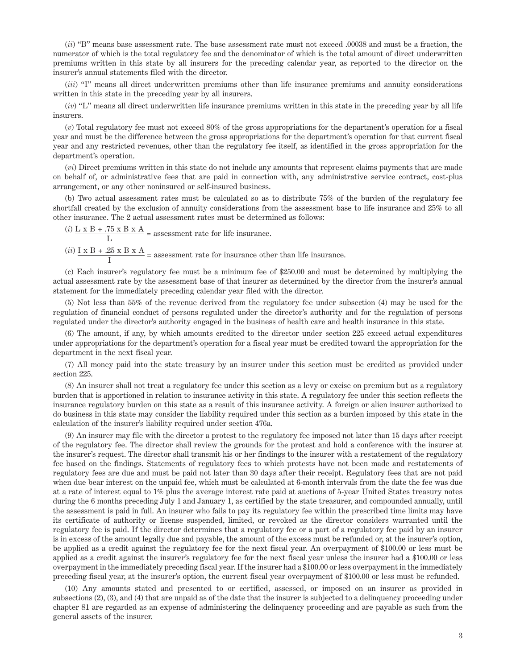(*ii*) "B" means base assessment rate. The base assessment rate must not exceed .00038 and must be a fraction, the numerator of which is the total regulatory fee and the denominator of which is the total amount of direct underwritten premiums written in this state by all insurers for the preceding calendar year, as reported to the director on the insurer's annual statements filed with the director.

(*iii*) "I" means all direct underwritten premiums other than life insurance premiums and annuity considerations written in this state in the preceding year by all insurers.

(*iv*) "L" means all direct underwritten life insurance premiums written in this state in the preceding year by all life insurers.

(*v*) Total regulatory fee must not exceed 80% of the gross appropriations for the department's operation for a fiscal year and must be the difference between the gross appropriations for the department's operation for that current fiscal year and any restricted revenues, other than the regulatory fee itself, as identified in the gross appropriation for the department's operation.

(*vi*) Direct premiums written in this state do not include any amounts that represent claims payments that are made on behalf of, or administrative fees that are paid in connection with, any administrative service contract, cost-plus arrangement, or any other noninsured or self-insured business.

(b) Two actual assessment rates must be calculated so as to distribute 75% of the burden of the regulatory fee shortfall created by the exclusion of annuity considerations from the assessment base to life insurance and 25% to all other insurance. The 2 actual assessment rates must be determined as follows:

 $(i)$  <u>L x B + .75 x B x A</u>  $=$  assessment rate for life insurance. L

(*ii*) <u>I x B + .25 x B x A</u> = assessment rate for insurance other than life insurance.

(c) Each insurer's regulatory fee must be a minimum fee of \$250.00 and must be determined by multiplying the actual assessment rate by the assessment base of that insurer as determined by the director from the insurer's annual statement for the immediately preceding calendar year filed with the director.

(5) Not less than 55% of the revenue derived from the regulatory fee under subsection (4) may be used for the regulation of financial conduct of persons regulated under the director's authority and for the regulation of persons regulated under the director's authority engaged in the business of health care and health insurance in this state.

(6) The amount, if any, by which amounts credited to the director under section 225 exceed actual expenditures under appropriations for the department's operation for a fiscal year must be credited toward the appropriation for the department in the next fiscal year.

(7) All money paid into the state treasury by an insurer under this section must be credited as provided under section 225.

(8) An insurer shall not treat a regulatory fee under this section as a levy or excise on premium but as a regulatory burden that is apportioned in relation to insurance activity in this state. A regulatory fee under this section reflects the insurance regulatory burden on this state as a result of this insurance activity. A foreign or alien insurer authorized to do business in this state may consider the liability required under this section as a burden imposed by this state in the calculation of the insurer's liability required under section 476a.

(9) An insurer may file with the director a protest to the regulatory fee imposed not later than 15 days after receipt of the regulatory fee. The director shall review the grounds for the protest and hold a conference with the insurer at the insurer's request. The director shall transmit his or her findings to the insurer with a restatement of the regulatory fee based on the findings. Statements of regulatory fees to which protests have not been made and restatements of regulatory fees are due and must be paid not later than 30 days after their receipt. Regulatory fees that are not paid when due bear interest on the unpaid fee, which must be calculated at 6-month intervals from the date the fee was due at a rate of interest equal to 1% plus the average interest rate paid at auctions of 5-year United States treasury notes during the 6 months preceding July 1 and January 1, as certified by the state treasurer, and compounded annually, until the assessment is paid in full. An insurer who fails to pay its regulatory fee within the prescribed time limits may have its certificate of authority or license suspended, limited, or revoked as the director considers warranted until the regulatory fee is paid. If the director determines that a regulatory fee or a part of a regulatory fee paid by an insurer is in excess of the amount legally due and payable, the amount of the excess must be refunded or, at the insurer's option, be applied as a credit against the regulatory fee for the next fiscal year. An overpayment of \$100.00 or less must be applied as a credit against the insurer's regulatory fee for the next fiscal year unless the insurer had a \$100.00 or less overpayment in the immediately preceding fiscal year. If the insurer had a \$100.00 or less overpayment in the immediately preceding fiscal year, at the insurer's option, the current fiscal year overpayment of \$100.00 or less must be refunded.

(10) Any amounts stated and presented to or certified, assessed, or imposed on an insurer as provided in subsections (2), (3), and (4) that are unpaid as of the date that the insurer is subjected to a delinquency proceeding under chapter 81 are regarded as an expense of administering the delinquency proceeding and are payable as such from the general assets of the insurer.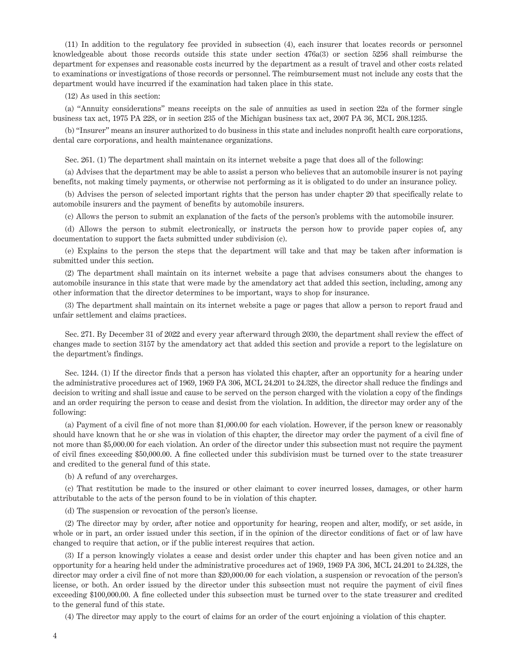(11) In addition to the regulatory fee provided in subsection (4), each insurer that locates records or personnel knowledgeable about those records outside this state under section 476a(3) or section 5256 shall reimburse the department for expenses and reasonable costs incurred by the department as a result of travel and other costs related to examinations or investigations of those records or personnel. The reimbursement must not include any costs that the department would have incurred if the examination had taken place in this state.

(12) As used in this section:

(a) "Annuity considerations" means receipts on the sale of annuities as used in section 22a of the former single business tax act, 1975 PA 228, or in section 235 of the Michigan business tax act, 2007 PA 36, MCL 208.1235.

(b) "Insurer" means an insurer authorized to do business in this state and includes nonprofit health care corporations, dental care corporations, and health maintenance organizations.

Sec. 261. (1) The department shall maintain on its internet website a page that does all of the following:

(a) Advises that the department may be able to assist a person who believes that an automobile insurer is not paying benefits, not making timely payments, or otherwise not performing as it is obligated to do under an insurance policy.

(b) Advises the person of selected important rights that the person has under chapter 20 that specifically relate to automobile insurers and the payment of benefits by automobile insurers.

(c) Allows the person to submit an explanation of the facts of the person's problems with the automobile insurer.

(d) Allows the person to submit electronically, or instructs the person how to provide paper copies of, any documentation to support the facts submitted under subdivision (c).

(e) Explains to the person the steps that the department will take and that may be taken after information is submitted under this section.

(2) The department shall maintain on its internet website a page that advises consumers about the changes to automobile insurance in this state that were made by the amendatory act that added this section, including, among any other information that the director determines to be important, ways to shop for insurance.

(3) The department shall maintain on its internet website a page or pages that allow a person to report fraud and unfair settlement and claims practices.

Sec. 271. By December 31 of 2022 and every year afterward through 2030, the department shall review the effect of changes made to section 3157 by the amendatory act that added this section and provide a report to the legislature on the department's findings.

Sec. 1244. (1) If the director finds that a person has violated this chapter, after an opportunity for a hearing under the administrative procedures act of 1969, 1969 PA 306, MCL 24.201 to 24.328, the director shall reduce the findings and decision to writing and shall issue and cause to be served on the person charged with the violation a copy of the findings and an order requiring the person to cease and desist from the violation. In addition, the director may order any of the following:

(a) Payment of a civil fine of not more than \$1,000.00 for each violation. However, if the person knew or reasonably should have known that he or she was in violation of this chapter, the director may order the payment of a civil fine of not more than \$5,000.00 for each violation. An order of the director under this subsection must not require the payment of civil fines exceeding \$50,000.00. A fine collected under this subdivision must be turned over to the state treasurer and credited to the general fund of this state.

(b) A refund of any overcharges.

(c) That restitution be made to the insured or other claimant to cover incurred losses, damages, or other harm attributable to the acts of the person found to be in violation of this chapter.

(d) The suspension or revocation of the person's license.

(2) The director may by order, after notice and opportunity for hearing, reopen and alter, modify, or set aside, in whole or in part, an order issued under this section, if in the opinion of the director conditions of fact or of law have changed to require that action, or if the public interest requires that action.

(3) If a person knowingly violates a cease and desist order under this chapter and has been given notice and an opportunity for a hearing held under the administrative procedures act of 1969, 1969 PA 306, MCL 24.201 to 24.328, the director may order a civil fine of not more than \$20,000.00 for each violation, a suspension or revocation of the person's license, or both. An order issued by the director under this subsection must not require the payment of civil fines exceeding \$100,000.00. A fine collected under this subsection must be turned over to the state treasurer and credited to the general fund of this state.

(4) The director may apply to the court of claims for an order of the court enjoining a violation of this chapter.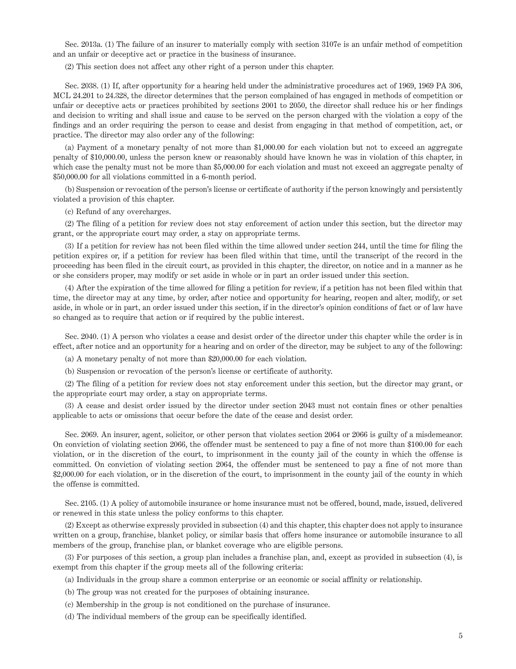Sec. 2013a. (1) The failure of an insurer to materially comply with section 3107e is an unfair method of competition and an unfair or deceptive act or practice in the business of insurance.

(2) This section does not affect any other right of a person under this chapter.

Sec. 2038. (1) If, after opportunity for a hearing held under the administrative procedures act of 1969, 1969 PA 306, MCL 24.201 to 24.328, the director determines that the person complained of has engaged in methods of competition or unfair or deceptive acts or practices prohibited by sections 2001 to 2050, the director shall reduce his or her findings and decision to writing and shall issue and cause to be served on the person charged with the violation a copy of the findings and an order requiring the person to cease and desist from engaging in that method of competition, act, or practice. The director may also order any of the following:

(a) Payment of a monetary penalty of not more than \$1,000.00 for each violation but not to exceed an aggregate penalty of \$10,000.00, unless the person knew or reasonably should have known he was in violation of this chapter, in which case the penalty must not be more than \$5,000.00 for each violation and must not exceed an aggregate penalty of \$50,000.00 for all violations committed in a 6-month period.

(b) Suspension or revocation of the person's license or certificate of authority if the person knowingly and persistently violated a provision of this chapter.

(c) Refund of any overcharges.

(2) The filing of a petition for review does not stay enforcement of action under this section, but the director may grant, or the appropriate court may order, a stay on appropriate terms.

(3) If a petition for review has not been filed within the time allowed under section 244, until the time for filing the petition expires or, if a petition for review has been filed within that time, until the transcript of the record in the proceeding has been filed in the circuit court, as provided in this chapter, the director, on notice and in a manner as he or she considers proper, may modify or set aside in whole or in part an order issued under this section.

(4) After the expiration of the time allowed for filing a petition for review, if a petition has not been filed within that time, the director may at any time, by order, after notice and opportunity for hearing, reopen and alter, modify, or set aside, in whole or in part, an order issued under this section, if in the director's opinion conditions of fact or of law have so changed as to require that action or if required by the public interest.

Sec. 2040. (1) A person who violates a cease and desist order of the director under this chapter while the order is in effect, after notice and an opportunity for a hearing and on order of the director, may be subject to any of the following:

(a) A monetary penalty of not more than \$20,000.00 for each violation.

(b) Suspension or revocation of the person's license or certificate of authority.

(2) The filing of a petition for review does not stay enforcement under this section, but the director may grant, or the appropriate court may order, a stay on appropriate terms.

(3) A cease and desist order issued by the director under section 2043 must not contain fines or other penalties applicable to acts or omissions that occur before the date of the cease and desist order.

Sec. 2069. An insurer, agent, solicitor, or other person that violates section 2064 or 2066 is guilty of a misdemeanor. On conviction of violating section 2066, the offender must be sentenced to pay a fine of not more than \$100.00 for each violation, or in the discretion of the court, to imprisonment in the county jail of the county in which the offense is committed. On conviction of violating section 2064, the offender must be sentenced to pay a fine of not more than \$2,000.00 for each violation, or in the discretion of the court, to imprisonment in the county jail of the county in which the offense is committed.

Sec. 2105. (1) A policy of automobile insurance or home insurance must not be offered, bound, made, issued, delivered or renewed in this state unless the policy conforms to this chapter.

(2) Except as otherwise expressly provided in subsection (4) and this chapter, this chapter does not apply to insurance written on a group, franchise, blanket policy, or similar basis that offers home insurance or automobile insurance to all members of the group, franchise plan, or blanket coverage who are eligible persons.

(3) For purposes of this section, a group plan includes a franchise plan, and, except as provided in subsection (4), is exempt from this chapter if the group meets all of the following criteria:

(a) Individuals in the group share a common enterprise or an economic or social affinity or relationship.

(b) The group was not created for the purposes of obtaining insurance.

(c) Membership in the group is not conditioned on the purchase of insurance.

(d) The individual members of the group can be specifically identified.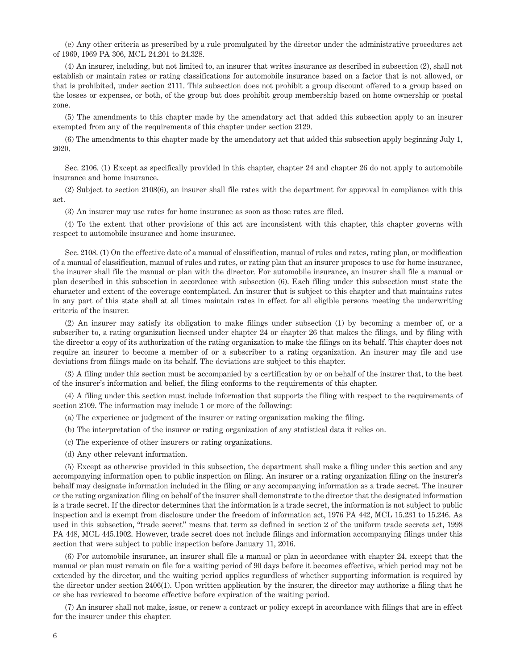(e) Any other criteria as prescribed by a rule promulgated by the director under the administrative procedures act of 1969, 1969 PA 306, MCL 24.201 to 24.328.

(4) An insurer, including, but not limited to, an insurer that writes insurance as described in subsection (2), shall not establish or maintain rates or rating classifications for automobile insurance based on a factor that is not allowed, or that is prohibited, under section 2111. This subsection does not prohibit a group discount offered to a group based on the losses or expenses, or both, of the group but does prohibit group membership based on home ownership or postal zone.

(5) The amendments to this chapter made by the amendatory act that added this subsection apply to an insurer exempted from any of the requirements of this chapter under section 2129.

(6) The amendments to this chapter made by the amendatory act that added this subsection apply beginning July 1, 2020.

Sec. 2106. (1) Except as specifically provided in this chapter, chapter 24 and chapter 26 do not apply to automobile insurance and home insurance.

(2) Subject to section 2108(6), an insurer shall file rates with the department for approval in compliance with this act.

(3) An insurer may use rates for home insurance as soon as those rates are filed.

(4) To the extent that other provisions of this act are inconsistent with this chapter, this chapter governs with respect to automobile insurance and home insurance.

Sec. 2108. (1) On the effective date of a manual of classification, manual of rules and rates, rating plan, or modification of a manual of classification, manual of rules and rates, or rating plan that an insurer proposes to use for home insurance, the insurer shall file the manual or plan with the director. For automobile insurance, an insurer shall file a manual or plan described in this subsection in accordance with subsection (6). Each filing under this subsection must state the character and extent of the coverage contemplated. An insurer that is subject to this chapter and that maintains rates in any part of this state shall at all times maintain rates in effect for all eligible persons meeting the underwriting criteria of the insurer.

(2) An insurer may satisfy its obligation to make filings under subsection (1) by becoming a member of, or a subscriber to, a rating organization licensed under chapter 24 or chapter 26 that makes the filings, and by filing with the director a copy of its authorization of the rating organization to make the filings on its behalf. This chapter does not require an insurer to become a member of or a subscriber to a rating organization. An insurer may file and use deviations from filings made on its behalf. The deviations are subject to this chapter.

(3) A filing under this section must be accompanied by a certification by or on behalf of the insurer that, to the best of the insurer's information and belief, the filing conforms to the requirements of this chapter.

(4) A filing under this section must include information that supports the filing with respect to the requirements of section 2109. The information may include 1 or more of the following:

(a) The experience or judgment of the insurer or rating organization making the filing.

(b) The interpretation of the insurer or rating organization of any statistical data it relies on.

(c) The experience of other insurers or rating organizations.

(d) Any other relevant information.

(5) Except as otherwise provided in this subsection, the department shall make a filing under this section and any accompanying information open to public inspection on filing. An insurer or a rating organization filing on the insurer's behalf may designate information included in the filing or any accompanying information as a trade secret. The insurer or the rating organization filing on behalf of the insurer shall demonstrate to the director that the designated information is a trade secret. If the director determines that the information is a trade secret, the information is not subject to public inspection and is exempt from disclosure under the freedom of information act, 1976 PA 442, MCL 15.231 to 15.246. As used in this subsection, "trade secret" means that term as defined in section 2 of the uniform trade secrets act, 1998 PA 448, MCL 445.1902. However, trade secret does not include filings and information accompanying filings under this section that were subject to public inspection before January 11, 2016.

(6) For automobile insurance, an insurer shall file a manual or plan in accordance with chapter 24, except that the manual or plan must remain on file for a waiting period of 90 days before it becomes effective, which period may not be extended by the director, and the waiting period applies regardless of whether supporting information is required by the director under section 2406(1). Upon written application by the insurer, the director may authorize a filing that he or she has reviewed to become effective before expiration of the waiting period.

(7) An insurer shall not make, issue, or renew a contract or policy except in accordance with filings that are in effect for the insurer under this chapter.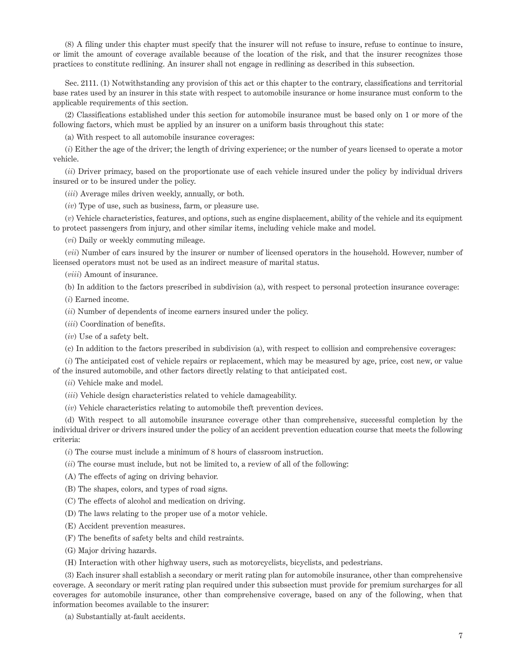(8) A filing under this chapter must specify that the insurer will not refuse to insure, refuse to continue to insure, or limit the amount of coverage available because of the location of the risk, and that the insurer recognizes those practices to constitute redlining. An insurer shall not engage in redlining as described in this subsection.

Sec. 2111. (1) Notwithstanding any provision of this act or this chapter to the contrary, classifications and territorial base rates used by an insurer in this state with respect to automobile insurance or home insurance must conform to the applicable requirements of this section.

(2) Classifications established under this section for automobile insurance must be based only on 1 or more of the following factors, which must be applied by an insurer on a uniform basis throughout this state:

(a) With respect to all automobile insurance coverages:

(*i*) Either the age of the driver; the length of driving experience; or the number of years licensed to operate a motor vehicle.

(*ii*) Driver primacy, based on the proportionate use of each vehicle insured under the policy by individual drivers insured or to be insured under the policy.

(*iii*) Average miles driven weekly, annually, or both.

(*iv*) Type of use, such as business, farm, or pleasure use.

(*v*) Vehicle characteristics, features, and options, such as engine displacement, ability of the vehicle and its equipment to protect passengers from injury, and other similar items, including vehicle make and model.

(*vi*) Daily or weekly commuting mileage.

(*vii*) Number of cars insured by the insurer or number of licensed operators in the household. However, number of licensed operators must not be used as an indirect measure of marital status.

(*viii*) Amount of insurance.

(b) In addition to the factors prescribed in subdivision (a), with respect to personal protection insurance coverage:

(*i*) Earned income.

(*ii*) Number of dependents of income earners insured under the policy.

(*iii*) Coordination of benefits.

(*iv*) Use of a safety belt.

(c) In addition to the factors prescribed in subdivision (a), with respect to collision and comprehensive coverages:

(*i*) The anticipated cost of vehicle repairs or replacement, which may be measured by age, price, cost new, or value of the insured automobile, and other factors directly relating to that anticipated cost.

(*ii*) Vehicle make and model.

(*iii*) Vehicle design characteristics related to vehicle damageability.

(*iv*) Vehicle characteristics relating to automobile theft prevention devices.

(d) With respect to all automobile insurance coverage other than comprehensive, successful completion by the individual driver or drivers insured under the policy of an accident prevention education course that meets the following criteria:

(*i*) The course must include a minimum of 8 hours of classroom instruction.

(*ii*) The course must include, but not be limited to, a review of all of the following:

(A) The effects of aging on driving behavior.

(B) The shapes, colors, and types of road signs.

(C) The effects of alcohol and medication on driving.

(D) The laws relating to the proper use of a motor vehicle.

(E) Accident prevention measures.

(F) The benefits of safety belts and child restraints.

(G) Major driving hazards.

(H) Interaction with other highway users, such as motorcyclists, bicyclists, and pedestrians.

(3) Each insurer shall establish a secondary or merit rating plan for automobile insurance, other than comprehensive coverage. A secondary or merit rating plan required under this subsection must provide for premium surcharges for all coverages for automobile insurance, other than comprehensive coverage, based on any of the following, when that information becomes available to the insurer:

(a) Substantially at-fault accidents.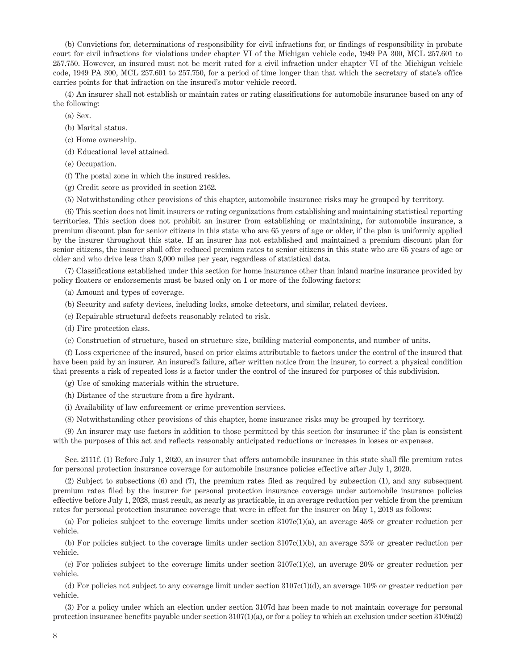(b) Convictions for, determinations of responsibility for civil infractions for, or findings of responsibility in probate court for civil infractions for violations under chapter VI of the Michigan vehicle code, 1949 PA 300, MCL 257.601 to 257.750. However, an insured must not be merit rated for a civil infraction under chapter VI of the Michigan vehicle code, 1949 PA 300, MCL 257.601 to 257.750, for a period of time longer than that which the secretary of state's office carries points for that infraction on the insured's motor vehicle record.

(4) An insurer shall not establish or maintain rates or rating classifications for automobile insurance based on any of the following:

- (a) Sex.
- (b) Marital status.
- (c) Home ownership.
- (d) Educational level attained.
- (e) Occupation.
- (f) The postal zone in which the insured resides.
- (g) Credit score as provided in section 2162.
- (5) Notwithstanding other provisions of this chapter, automobile insurance risks may be grouped by territory.

(6) This section does not limit insurers or rating organizations from establishing and maintaining statistical reporting territories. This section does not prohibit an insurer from establishing or maintaining, for automobile insurance, a premium discount plan for senior citizens in this state who are 65 years of age or older, if the plan is uniformly applied by the insurer throughout this state. If an insurer has not established and maintained a premium discount plan for senior citizens, the insurer shall offer reduced premium rates to senior citizens in this state who are 65 years of age or older and who drive less than 3,000 miles per year, regardless of statistical data.

(7) Classifications established under this section for home insurance other than inland marine insurance provided by policy floaters or endorsements must be based only on 1 or more of the following factors:

(a) Amount and types of coverage.

- (b) Security and safety devices, including locks, smoke detectors, and similar, related devices.
- (c) Repairable structural defects reasonably related to risk.
- (d) Fire protection class.
- (e) Construction of structure, based on structure size, building material components, and number of units.

(f) Loss experience of the insured, based on prior claims attributable to factors under the control of the insured that have been paid by an insurer. An insured's failure, after written notice from the insurer, to correct a physical condition that presents a risk of repeated loss is a factor under the control of the insured for purposes of this subdivision.

(g) Use of smoking materials within the structure.

(h) Distance of the structure from a fire hydrant.

(i) Availability of law enforcement or crime prevention services.

(8) Notwithstanding other provisions of this chapter, home insurance risks may be grouped by territory.

(9) An insurer may use factors in addition to those permitted by this section for insurance if the plan is consistent with the purposes of this act and reflects reasonably anticipated reductions or increases in losses or expenses.

Sec. 2111f. (1) Before July 1, 2020, an insurer that offers automobile insurance in this state shall file premium rates for personal protection insurance coverage for automobile insurance policies effective after July 1, 2020.

(2) Subject to subsections (6) and (7), the premium rates filed as required by subsection (1), and any subsequent premium rates filed by the insurer for personal protection insurance coverage under automobile insurance policies effective before July 1, 2028, must result, as nearly as practicable, in an average reduction per vehicle from the premium rates for personal protection insurance coverage that were in effect for the insurer on May 1, 2019 as follows:

(a) For policies subject to the coverage limits under section  $3107c(1)(a)$ , an average  $45\%$  or greater reduction per vehicle.

(b) For policies subject to the coverage limits under section 3107c(1)(b), an average 35% or greater reduction per vehicle.

(c) For policies subject to the coverage limits under section  $3107c(1)(c)$ , an average  $20\%$  or greater reduction per vehicle.

(d) For policies not subject to any coverage limit under section 3107c(1)(d), an average 10% or greater reduction per vehicle.

(3) For a policy under which an election under section 3107d has been made to not maintain coverage for personal protection insurance benefits payable under section 3107(1)(a), or for a policy to which an exclusion under section 3109a(2)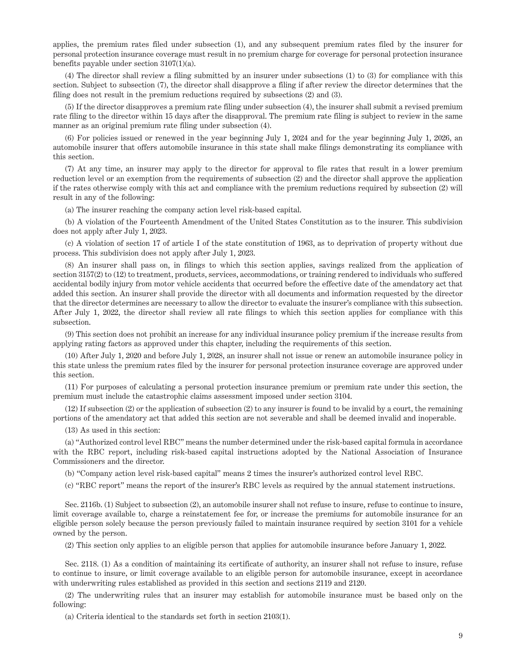applies, the premium rates filed under subsection (1), and any subsequent premium rates filed by the insurer for personal protection insurance coverage must result in no premium charge for coverage for personal protection insurance benefits payable under section 3107(1)(a).

(4) The director shall review a filing submitted by an insurer under subsections (1) to (3) for compliance with this section. Subject to subsection (7), the director shall disapprove a filing if after review the director determines that the filing does not result in the premium reductions required by subsections (2) and (3).

(5) If the director disapproves a premium rate filing under subsection (4), the insurer shall submit a revised premium rate filing to the director within 15 days after the disapproval. The premium rate filing is subject to review in the same manner as an original premium rate filing under subsection (4).

(6) For policies issued or renewed in the year beginning July 1, 2024 and for the year beginning July 1, 2026, an automobile insurer that offers automobile insurance in this state shall make filings demonstrating its compliance with this section.

(7) At any time, an insurer may apply to the director for approval to file rates that result in a lower premium reduction level or an exemption from the requirements of subsection (2) and the director shall approve the application if the rates otherwise comply with this act and compliance with the premium reductions required by subsection (2) will result in any of the following:

(a) The insurer reaching the company action level risk-based capital.

(b) A violation of the Fourteenth Amendment of the United States Constitution as to the insurer. This subdivision does not apply after July 1, 2023.

(c) A violation of section 17 of article I of the state constitution of 1963, as to deprivation of property without due process. This subdivision does not apply after July 1, 2023.

(8) An insurer shall pass on, in filings to which this section applies, savings realized from the application of section 3157(2) to (12) to treatment, products, services, accommodations, or training rendered to individuals who suffered accidental bodily injury from motor vehicle accidents that occurred before the effective date of the amendatory act that added this section. An insurer shall provide the director with all documents and information requested by the director that the director determines are necessary to allow the director to evaluate the insurer's compliance with this subsection. After July 1, 2022, the director shall review all rate filings to which this section applies for compliance with this subsection.

(9) This section does not prohibit an increase for any individual insurance policy premium if the increase results from applying rating factors as approved under this chapter, including the requirements of this section.

(10) After July 1, 2020 and before July 1, 2028, an insurer shall not issue or renew an automobile insurance policy in this state unless the premium rates filed by the insurer for personal protection insurance coverage are approved under this section.

(11) For purposes of calculating a personal protection insurance premium or premium rate under this section, the premium must include the catastrophic claims assessment imposed under section 3104.

(12) If subsection (2) or the application of subsection (2) to any insurer is found to be invalid by a court, the remaining portions of the amendatory act that added this section are not severable and shall be deemed invalid and inoperable.

(13) As used in this section:

(a) "Authorized control level RBC" means the number determined under the risk-based capital formula in accordance with the RBC report, including risk-based capital instructions adopted by the National Association of Insurance Commissioners and the director.

(b) "Company action level risk-based capital" means 2 times the insurer's authorized control level RBC.

(c) "RBC report" means the report of the insurer's RBC levels as required by the annual statement instructions.

Sec. 2116b. (1) Subject to subsection (2), an automobile insurer shall not refuse to insure, refuse to continue to insure, limit coverage available to, charge a reinstatement fee for, or increase the premiums for automobile insurance for an eligible person solely because the person previously failed to maintain insurance required by section 3101 for a vehicle owned by the person.

(2) This section only applies to an eligible person that applies for automobile insurance before January 1, 2022.

Sec. 2118. (1) As a condition of maintaining its certificate of authority, an insurer shall not refuse to insure, refuse to continue to insure, or limit coverage available to an eligible person for automobile insurance, except in accordance with underwriting rules established as provided in this section and sections 2119 and 2120.

(2) The underwriting rules that an insurer may establish for automobile insurance must be based only on the following:

(a) Criteria identical to the standards set forth in section 2103(1).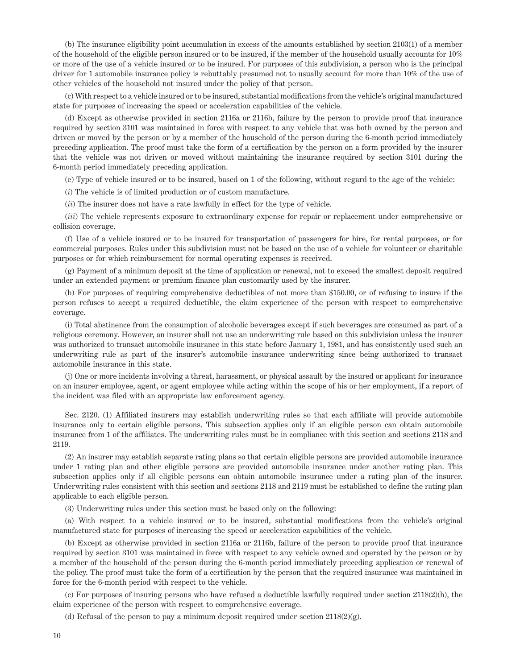(b) The insurance eligibility point accumulation in excess of the amounts established by section 2103(1) of a member of the household of the eligible person insured or to be insured, if the member of the household usually accounts for 10% or more of the use of a vehicle insured or to be insured. For purposes of this subdivision, a person who is the principal driver for 1 automobile insurance policy is rebuttably presumed not to usually account for more than 10% of the use of other vehicles of the household not insured under the policy of that person.

(c) With respect to a vehicle insured or to be insured, substantial modifications from the vehicle's original manufactured state for purposes of increasing the speed or acceleration capabilities of the vehicle.

(d) Except as otherwise provided in section 2116a or 2116b, failure by the person to provide proof that insurance required by section 3101 was maintained in force with respect to any vehicle that was both owned by the person and driven or moved by the person or by a member of the household of the person during the 6-month period immediately preceding application. The proof must take the form of a certification by the person on a form provided by the insurer that the vehicle was not driven or moved without maintaining the insurance required by section 3101 during the 6-month period immediately preceding application.

(e) Type of vehicle insured or to be insured, based on 1 of the following, without regard to the age of the vehicle:

(*i*) The vehicle is of limited production or of custom manufacture.

(*ii*) The insurer does not have a rate lawfully in effect for the type of vehicle.

(*iii*) The vehicle represents exposure to extraordinary expense for repair or replacement under comprehensive or collision coverage.

(f) Use of a vehicle insured or to be insured for transportation of passengers for hire, for rental purposes, or for commercial purposes. Rules under this subdivision must not be based on the use of a vehicle for volunteer or charitable purposes or for which reimbursement for normal operating expenses is received.

(g) Payment of a minimum deposit at the time of application or renewal, not to exceed the smallest deposit required under an extended payment or premium finance plan customarily used by the insurer.

(h) For purposes of requiring comprehensive deductibles of not more than \$150.00, or of refusing to insure if the person refuses to accept a required deductible, the claim experience of the person with respect to comprehensive coverage.

(i) Total abstinence from the consumption of alcoholic beverages except if such beverages are consumed as part of a religious ceremony. However, an insurer shall not use an underwriting rule based on this subdivision unless the insurer was authorized to transact automobile insurance in this state before January 1, 1981, and has consistently used such an underwriting rule as part of the insurer's automobile insurance underwriting since being authorized to transact automobile insurance in this state.

(j) One or more incidents involving a threat, harassment, or physical assault by the insured or applicant for insurance on an insurer employee, agent, or agent employee while acting within the scope of his or her employment, if a report of the incident was filed with an appropriate law enforcement agency.

Sec. 2120. (1) Affiliated insurers may establish underwriting rules so that each affiliate will provide automobile insurance only to certain eligible persons. This subsection applies only if an eligible person can obtain automobile insurance from 1 of the affiliates. The underwriting rules must be in compliance with this section and sections 2118 and 2119.

(2) An insurer may establish separate rating plans so that certain eligible persons are provided automobile insurance under 1 rating plan and other eligible persons are provided automobile insurance under another rating plan. This subsection applies only if all eligible persons can obtain automobile insurance under a rating plan of the insurer. Underwriting rules consistent with this section and sections 2118 and 2119 must be established to define the rating plan applicable to each eligible person.

(3) Underwriting rules under this section must be based only on the following:

(a) With respect to a vehicle insured or to be insured, substantial modifications from the vehicle's original manufactured state for purposes of increasing the speed or acceleration capabilities of the vehicle.

(b) Except as otherwise provided in section 2116a or 2116b, failure of the person to provide proof that insurance required by section 3101 was maintained in force with respect to any vehicle owned and operated by the person or by a member of the household of the person during the 6-month period immediately preceding application or renewal of the policy. The proof must take the form of a certification by the person that the required insurance was maintained in force for the 6-month period with respect to the vehicle.

(c) For purposes of insuring persons who have refused a deductible lawfully required under section 2118(2)(h), the claim experience of the person with respect to comprehensive coverage.

(d) Refusal of the person to pay a minimum deposit required under section 2118(2)(g).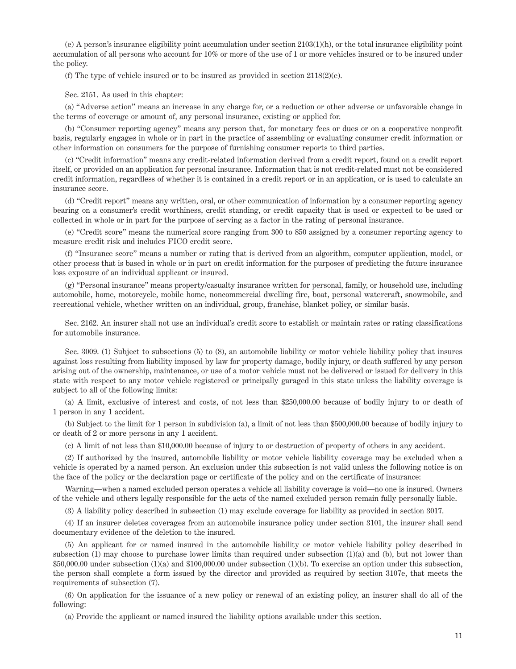(e) A person's insurance eligibility point accumulation under section 2103(1)(h), or the total insurance eligibility point accumulation of all persons who account for 10% or more of the use of 1 or more vehicles insured or to be insured under the policy.

(f) The type of vehicle insured or to be insured as provided in section  $2118(2)(e)$ .

Sec. 2151. As used in this chapter:

(a) "Adverse action" means an increase in any charge for, or a reduction or other adverse or unfavorable change in the terms of coverage or amount of, any personal insurance, existing or applied for.

(b) "Consumer reporting agency" means any person that, for monetary fees or dues or on a cooperative nonprofit basis, regularly engages in whole or in part in the practice of assembling or evaluating consumer credit information or other information on consumers for the purpose of furnishing consumer reports to third parties.

(c) "Credit information" means any credit-related information derived from a credit report, found on a credit report itself, or provided on an application for personal insurance. Information that is not credit-related must not be considered credit information, regardless of whether it is contained in a credit report or in an application, or is used to calculate an insurance score.

(d) "Credit report" means any written, oral, or other communication of information by a consumer reporting agency bearing on a consumer's credit worthiness, credit standing, or credit capacity that is used or expected to be used or collected in whole or in part for the purpose of serving as a factor in the rating of personal insurance.

(e) "Credit score" means the numerical score ranging from 300 to 850 assigned by a consumer reporting agency to measure credit risk and includes FICO credit score.

(f) "Insurance score" means a number or rating that is derived from an algorithm, computer application, model, or other process that is based in whole or in part on credit information for the purposes of predicting the future insurance loss exposure of an individual applicant or insured.

(g) "Personal insurance" means property/casualty insurance written for personal, family, or household use, including automobile, home, motorcycle, mobile home, noncommercial dwelling fire, boat, personal watercraft, snowmobile, and recreational vehicle, whether written on an individual, group, franchise, blanket policy, or similar basis.

Sec. 2162. An insurer shall not use an individual's credit score to establish or maintain rates or rating classifications for automobile insurance.

Sec. 3009. (1) Subject to subsections (5) to (8), an automobile liability or motor vehicle liability policy that insures against loss resulting from liability imposed by law for property damage, bodily injury, or death suffered by any person arising out of the ownership, maintenance, or use of a motor vehicle must not be delivered or issued for delivery in this state with respect to any motor vehicle registered or principally garaged in this state unless the liability coverage is subject to all of the following limits:

(a) A limit, exclusive of interest and costs, of not less than \$250,000.00 because of bodily injury to or death of 1 person in any 1 accident.

(b) Subject to the limit for 1 person in subdivision (a), a limit of not less than \$500,000.00 because of bodily injury to or death of 2 or more persons in any 1 accident.

(c) A limit of not less than \$10,000.00 because of injury to or destruction of property of others in any accident.

(2) If authorized by the insured, automobile liability or motor vehicle liability coverage may be excluded when a vehicle is operated by a named person. An exclusion under this subsection is not valid unless the following notice is on the face of the policy or the declaration page or certificate of the policy and on the certificate of insurance:

Warning—when a named excluded person operates a vehicle all liability coverage is void—no one is insured. Owners of the vehicle and others legally responsible for the acts of the named excluded person remain fully personally liable.

(3) A liability policy described in subsection (1) may exclude coverage for liability as provided in section 3017.

(4) If an insurer deletes coverages from an automobile insurance policy under section 3101, the insurer shall send documentary evidence of the deletion to the insured.

(5) An applicant for or named insured in the automobile liability or motor vehicle liability policy described in subsection (1) may choose to purchase lower limits than required under subsection (1)(a) and (b), but not lower than \$50,000.00 under subsection (1)(a) and \$100,000.00 under subsection (1)(b). To exercise an option under this subsection, the person shall complete a form issued by the director and provided as required by section 3107e, that meets the requirements of subsection (7).

(6) On application for the issuance of a new policy or renewal of an existing policy, an insurer shall do all of the following:

(a) Provide the applicant or named insured the liability options available under this section.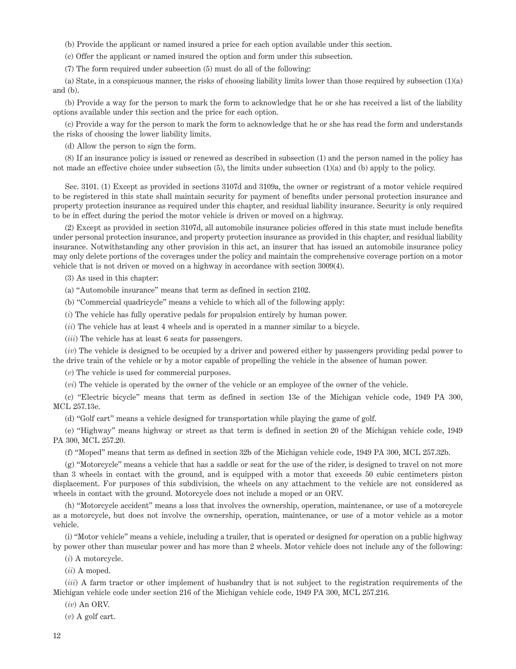(b) Provide the applicant or named insured a price for each option available under this section.

(c) Offer the applicant or named insured the option and form under this subsection.

(7) The form required under subsection (5) must do all of the following:

(a) State, in a conspicuous manner, the risks of choosing liability limits lower than those required by subsection (1)(a) and (b).

(b) Provide a way for the person to mark the form to acknowledge that he or she has received a list of the liability options available under this section and the price for each option.

(c) Provide a way for the person to mark the form to acknowledge that he or she has read the form and understands the risks of choosing the lower liability limits.

(d) Allow the person to sign the form.

(8) If an insurance policy is issued or renewed as described in subsection (1) and the person named in the policy has not made an effective choice under subsection (5), the limits under subsection (1)(a) and (b) apply to the policy.

Sec. 3101. (1) Except as provided in sections 3107d and 3109a, the owner or registrant of a motor vehicle required to be registered in this state shall maintain security for payment of benefits under personal protection insurance and property protection insurance as required under this chapter, and residual liability insurance. Security is only required to be in effect during the period the motor vehicle is driven or moved on a highway.

(2) Except as provided in section 3107d, all automobile insurance policies offered in this state must include benefits under personal protection insurance, and property protection insurance as provided in this chapter, and residual liability insurance. Notwithstanding any other provision in this act, an insurer that has issued an automobile insurance policy may only delete portions of the coverages under the policy and maintain the comprehensive coverage portion on a motor vehicle that is not driven or moved on a highway in accordance with section 3009(4).

(3) As used in this chapter:

(a) "Automobile insurance" means that term as defined in section 2102.

(b) "Commercial quadricycle" means a vehicle to which all of the following apply:

(*i*) The vehicle has fully operative pedals for propulsion entirely by human power.

(*ii*) The vehicle has at least 4 wheels and is operated in a manner similar to a bicycle.

(*iii*) The vehicle has at least 6 seats for passengers.

(*iv*) The vehicle is designed to be occupied by a driver and powered either by passengers providing pedal power to the drive train of the vehicle or by a motor capable of propelling the vehicle in the absence of human power.

(*v*) The vehicle is used for commercial purposes.

(*vi*) The vehicle is operated by the owner of the vehicle or an employee of the owner of the vehicle.

(c) "Electric bicycle" means that term as defined in section 13e of the Michigan vehicle code, 1949 PA 300, MCL 257.13e.

(d) "Golf cart" means a vehicle designed for transportation while playing the game of golf.

(e) "Highway" means highway or street as that term is defined in section 20 of the Michigan vehicle code, 1949 PA 300, MCL 257.20.

(f) "Moped" means that term as defined in section 32b of the Michigan vehicle code, 1949 PA 300, MCL 257.32b.

(g) "Motorcycle" means a vehicle that has a saddle or seat for the use of the rider, is designed to travel on not more than 3 wheels in contact with the ground, and is equipped with a motor that exceeds 50 cubic centimeters piston displacement. For purposes of this subdivision, the wheels on any attachment to the vehicle are not considered as wheels in contact with the ground. Motorcycle does not include a moped or an ORV.

(h) "Motorcycle accident" means a loss that involves the ownership, operation, maintenance, or use of a motorcycle as a motorcycle, but does not involve the ownership, operation, maintenance, or use of a motor vehicle as a motor vehicle.

(i) "Motor vehicle" means a vehicle, including a trailer, that is operated or designed for operation on a public highway by power other than muscular power and has more than 2 wheels. Motor vehicle does not include any of the following:

(*i*) A motorcycle.

(*ii*) A moped.

(*iii*) A farm tractor or other implement of husbandry that is not subject to the registration requirements of the Michigan vehicle code under section 216 of the Michigan vehicle code, 1949 PA 300, MCL 257.216.

(*iv*) An ORV.

(*v*) A golf cart.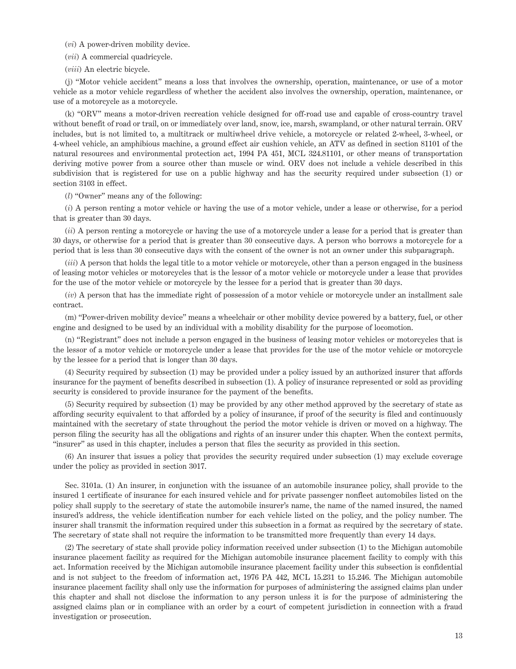(*vi*) A power-driven mobility device.

(*vii*) A commercial quadricycle.

(*viii*) An electric bicycle.

(j) "Motor vehicle accident" means a loss that involves the ownership, operation, maintenance, or use of a motor vehicle as a motor vehicle regardless of whether the accident also involves the ownership, operation, maintenance, or use of a motorcycle as a motorcycle.

(k) "ORV" means a motor-driven recreation vehicle designed for off-road use and capable of cross-country travel without benefit of road or trail, on or immediately over land, snow, ice, marsh, swampland, or other natural terrain. ORV includes, but is not limited to, a multitrack or multiwheel drive vehicle, a motorcycle or related 2-wheel, 3-wheel, or 4-wheel vehicle, an amphibious machine, a ground effect air cushion vehicle, an ATV as defined in section 81101 of the natural resources and environmental protection act, 1994 PA 451, MCL 324.81101, or other means of transportation deriving motive power from a source other than muscle or wind. ORV does not include a vehicle described in this subdivision that is registered for use on a public highway and has the security required under subsection (1) or section 3103 in effect.

(*l*) "Owner" means any of the following:

(*i*) A person renting a motor vehicle or having the use of a motor vehicle, under a lease or otherwise, for a period that is greater than 30 days.

(*ii*) A person renting a motorcycle or having the use of a motorcycle under a lease for a period that is greater than 30 days, or otherwise for a period that is greater than 30 consecutive days. A person who borrows a motorcycle for a period that is less than 30 consecutive days with the consent of the owner is not an owner under this subparagraph.

(*iii*) A person that holds the legal title to a motor vehicle or motorcycle, other than a person engaged in the business of leasing motor vehicles or motorcycles that is the lessor of a motor vehicle or motorcycle under a lease that provides for the use of the motor vehicle or motorcycle by the lessee for a period that is greater than 30 days.

(*iv*) A person that has the immediate right of possession of a motor vehicle or motorcycle under an installment sale contract.

(m) "Power-driven mobility device" means a wheelchair or other mobility device powered by a battery, fuel, or other engine and designed to be used by an individual with a mobility disability for the purpose of locomotion.

(n) "Registrant" does not include a person engaged in the business of leasing motor vehicles or motorcycles that is the lessor of a motor vehicle or motorcycle under a lease that provides for the use of the motor vehicle or motorcycle by the lessee for a period that is longer than 30 days.

(4) Security required by subsection (1) may be provided under a policy issued by an authorized insurer that affords insurance for the payment of benefits described in subsection (1). A policy of insurance represented or sold as providing security is considered to provide insurance for the payment of the benefits.

(5) Security required by subsection (1) may be provided by any other method approved by the secretary of state as affording security equivalent to that afforded by a policy of insurance, if proof of the security is filed and continuously maintained with the secretary of state throughout the period the motor vehicle is driven or moved on a highway. The person filing the security has all the obligations and rights of an insurer under this chapter. When the context permits, "insurer" as used in this chapter, includes a person that files the security as provided in this section.

(6) An insurer that issues a policy that provides the security required under subsection (1) may exclude coverage under the policy as provided in section 3017.

Sec. 3101a. (1) An insurer, in conjunction with the issuance of an automobile insurance policy, shall provide to the insured 1 certificate of insurance for each insured vehicle and for private passenger nonfleet automobiles listed on the policy shall supply to the secretary of state the automobile insurer's name, the name of the named insured, the named insured's address, the vehicle identification number for each vehicle listed on the policy, and the policy number. The insurer shall transmit the information required under this subsection in a format as required by the secretary of state. The secretary of state shall not require the information to be transmitted more frequently than every 14 days.

(2) The secretary of state shall provide policy information received under subsection (1) to the Michigan automobile insurance placement facility as required for the Michigan automobile insurance placement facility to comply with this act. Information received by the Michigan automobile insurance placement facility under this subsection is confidential and is not subject to the freedom of information act, 1976 PA 442, MCL 15.231 to 15.246. The Michigan automobile insurance placement facility shall only use the information for purposes of administering the assigned claims plan under this chapter and shall not disclose the information to any person unless it is for the purpose of administering the assigned claims plan or in compliance with an order by a court of competent jurisdiction in connection with a fraud investigation or prosecution.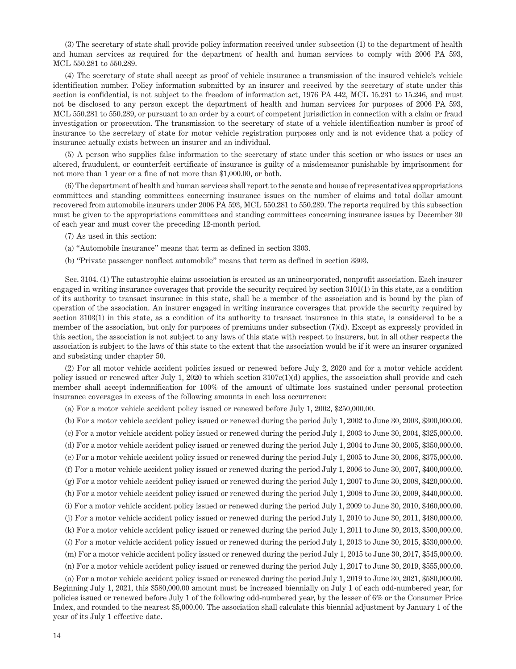(3) The secretary of state shall provide policy information received under subsection (1) to the department of health and human services as required for the department of health and human services to comply with 2006 PA 593, MCL 550.281 to 550.289.

(4) The secretary of state shall accept as proof of vehicle insurance a transmission of the insured vehicle's vehicle identification number. Policy information submitted by an insurer and received by the secretary of state under this section is confidential, is not subject to the freedom of information act, 1976 PA 442, MCL 15.231 to 15.246, and must not be disclosed to any person except the department of health and human services for purposes of 2006 PA 593, MCL 550.281 to 550.289, or pursuant to an order by a court of competent jurisdiction in connection with a claim or fraud investigation or prosecution. The transmission to the secretary of state of a vehicle identification number is proof of insurance to the secretary of state for motor vehicle registration purposes only and is not evidence that a policy of insurance actually exists between an insurer and an individual.

(5) A person who supplies false information to the secretary of state under this section or who issues or uses an altered, fraudulent, or counterfeit certificate of insurance is guilty of a misdemeanor punishable by imprisonment for not more than 1 year or a fine of not more than \$1,000.00, or both.

(6) The department of health and human services shall report to the senate and house of representatives appropriations committees and standing committees concerning insurance issues on the number of claims and total dollar amount recovered from automobile insurers under 2006 PA 593, MCL 550.281 to 550.289. The reports required by this subsection must be given to the appropriations committees and standing committees concerning insurance issues by December 30 of each year and must cover the preceding 12-month period.

- (7) As used in this section:
- (a) "Automobile insurance" means that term as defined in section 3303.
- (b) "Private passenger nonfleet automobile" means that term as defined in section 3303.

Sec. 3104. (1) The catastrophic claims association is created as an unincorporated, nonprofit association. Each insurer engaged in writing insurance coverages that provide the security required by section 3101(1) in this state, as a condition of its authority to transact insurance in this state, shall be a member of the association and is bound by the plan of operation of the association. An insurer engaged in writing insurance coverages that provide the security required by section 3103(1) in this state, as a condition of its authority to transact insurance in this state, is considered to be a member of the association, but only for purposes of premiums under subsection (7)(d). Except as expressly provided in this section, the association is not subject to any laws of this state with respect to insurers, but in all other respects the association is subject to the laws of this state to the extent that the association would be if it were an insurer organized and subsisting under chapter 50.

(2) For all motor vehicle accident policies issued or renewed before July 2, 2020 and for a motor vehicle accident policy issued or renewed after July 1, 2020 to which section 3107c(1)(d) applies, the association shall provide and each member shall accept indemnification for 100% of the amount of ultimate loss sustained under personal protection insurance coverages in excess of the following amounts in each loss occurrence:

(a) For a motor vehicle accident policy issued or renewed before July 1, 2002, \$250,000.00.

(b) For a motor vehicle accident policy issued or renewed during the period July 1, 2002 to June 30, 2003, \$300,000.00. (c) For a motor vehicle accident policy issued or renewed during the period July 1, 2003 to June 30, 2004, \$325,000.00. (d) For a motor vehicle accident policy issued or renewed during the period July 1, 2004 to June 30, 2005, \$350,000.00. (e) For a motor vehicle accident policy issued or renewed during the period July 1, 2005 to June 30, 2006, \$375,000.00. (f) For a motor vehicle accident policy issued or renewed during the period July 1, 2006 to June 30, 2007, \$400,000.00. (g) For a motor vehicle accident policy issued or renewed during the period July 1, 2007 to June 30, 2008, \$420,000.00. (h) For a motor vehicle accident policy issued or renewed during the period July 1, 2008 to June 30, 2009, \$440,000.00. (i) For a motor vehicle accident policy issued or renewed during the period July 1, 2009 to June 30, 2010, \$460,000.00. (j) For a motor vehicle accident policy issued or renewed during the period July 1, 2010 to June 30, 2011, \$480,000.00. (k) For a motor vehicle accident policy issued or renewed during the period July 1, 2011 to June 30, 2013, \$500,000.00. (*l*) For a motor vehicle accident policy issued or renewed during the period July 1, 2013 to June 30, 2015, \$530,000.00. (m) For a motor vehicle accident policy issued or renewed during the period July 1, 2015 to June 30, 2017, \$545,000.00. (n) For a motor vehicle accident policy issued or renewed during the period July 1, 2017 to June 30, 2019, \$555,000.00.

(o) For a motor vehicle accident policy issued or renewed during the period July 1, 2019 to June 30, 2021, \$580,000.00. Beginning July 1, 2021, this \$580,000.00 amount must be increased biennially on July 1 of each odd-numbered year, for policies issued or renewed before July 1 of the following odd-numbered year, by the lesser of 6% or the Consumer Price Index, and rounded to the nearest \$5,000.00. The association shall calculate this biennial adjustment by January 1 of the year of its July 1 effective date.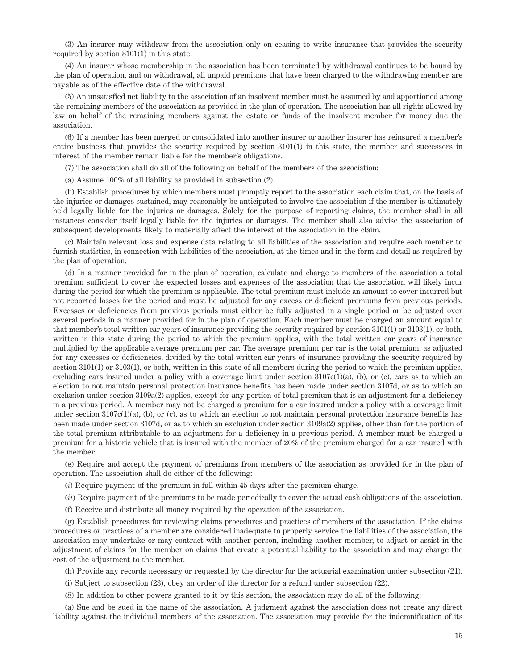(3) An insurer may withdraw from the association only on ceasing to write insurance that provides the security required by section 3101(1) in this state.

(4) An insurer whose membership in the association has been terminated by withdrawal continues to be bound by the plan of operation, and on withdrawal, all unpaid premiums that have been charged to the withdrawing member are payable as of the effective date of the withdrawal.

(5) An unsatisfied net liability to the association of an insolvent member must be assumed by and apportioned among the remaining members of the association as provided in the plan of operation. The association has all rights allowed by law on behalf of the remaining members against the estate or funds of the insolvent member for money due the association.

(6) If a member has been merged or consolidated into another insurer or another insurer has reinsured a member's entire business that provides the security required by section 3101(1) in this state, the member and successors in interest of the member remain liable for the member's obligations.

(7) The association shall do all of the following on behalf of the members of the association:

(a) Assume 100% of all liability as provided in subsection (2).

(b) Establish procedures by which members must promptly report to the association each claim that, on the basis of the injuries or damages sustained, may reasonably be anticipated to involve the association if the member is ultimately held legally liable for the injuries or damages. Solely for the purpose of reporting claims, the member shall in all instances consider itself legally liable for the injuries or damages. The member shall also advise the association of subsequent developments likely to materially affect the interest of the association in the claim.

(c) Maintain relevant loss and expense data relating to all liabilities of the association and require each member to furnish statistics, in connection with liabilities of the association, at the times and in the form and detail as required by the plan of operation.

(d) In a manner provided for in the plan of operation, calculate and charge to members of the association a total premium sufficient to cover the expected losses and expenses of the association that the association will likely incur during the period for which the premium is applicable. The total premium must include an amount to cover incurred but not reported losses for the period and must be adjusted for any excess or deficient premiums from previous periods. Excesses or deficiencies from previous periods must either be fully adjusted in a single period or be adjusted over several periods in a manner provided for in the plan of operation. Each member must be charged an amount equal to that member's total written car years of insurance providing the security required by section 3101(1) or 3103(1), or both, written in this state during the period to which the premium applies, with the total written car years of insurance multiplied by the applicable average premium per car. The average premium per car is the total premium, as adjusted for any excesses or deficiencies, divided by the total written car years of insurance providing the security required by section 3101(1) or 3103(1), or both, written in this state of all members during the period to which the premium applies, excluding cars insured under a policy with a coverage limit under section  $3107c(1)(a)$ , (b), or (c), cars as to which an election to not maintain personal protection insurance benefits has been made under section 3107d, or as to which an exclusion under section 3109a(2) applies, except for any portion of total premium that is an adjustment for a deficiency in a previous period. A member may not be charged a premium for a car insured under a policy with a coverage limit under section 3107c(1)(a), (b), or (c), as to which an election to not maintain personal protection insurance benefits has been made under section 3107d, or as to which an exclusion under section 3109a(2) applies, other than for the portion of the total premium attributable to an adjustment for a deficiency in a previous period. A member must be charged a premium for a historic vehicle that is insured with the member of 20% of the premium charged for a car insured with the member.

(e) Require and accept the payment of premiums from members of the association as provided for in the plan of operation. The association shall do either of the following:

(*i*) Require payment of the premium in full within 45 days after the premium charge.

(*ii*) Require payment of the premiums to be made periodically to cover the actual cash obligations of the association.

(f) Receive and distribute all money required by the operation of the association.

(g) Establish procedures for reviewing claims procedures and practices of members of the association. If the claims procedures or practices of a member are considered inadequate to properly service the liabilities of the association, the association may undertake or may contract with another person, including another member, to adjust or assist in the adjustment of claims for the member on claims that create a potential liability to the association and may charge the cost of the adjustment to the member.

(h) Provide any records necessary or requested by the director for the actuarial examination under subsection (21).

(i) Subject to subsection (23), obey an order of the director for a refund under subsection (22).

(8) In addition to other powers granted to it by this section, the association may do all of the following:

(a) Sue and be sued in the name of the association. A judgment against the association does not create any direct liability against the individual members of the association. The association may provide for the indemnification of its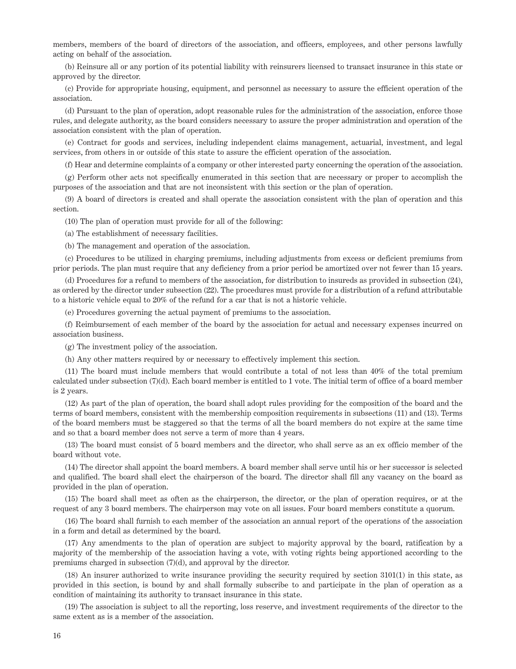members, members of the board of directors of the association, and officers, employees, and other persons lawfully acting on behalf of the association.

(b) Reinsure all or any portion of its potential liability with reinsurers licensed to transact insurance in this state or approved by the director.

(c) Provide for appropriate housing, equipment, and personnel as necessary to assure the efficient operation of the association.

(d) Pursuant to the plan of operation, adopt reasonable rules for the administration of the association, enforce those rules, and delegate authority, as the board considers necessary to assure the proper administration and operation of the association consistent with the plan of operation.

(e) Contract for goods and services, including independent claims management, actuarial, investment, and legal services, from others in or outside of this state to assure the efficient operation of the association.

(f) Hear and determine complaints of a company or other interested party concerning the operation of the association.

(g) Perform other acts not specifically enumerated in this section that are necessary or proper to accomplish the purposes of the association and that are not inconsistent with this section or the plan of operation.

(9) A board of directors is created and shall operate the association consistent with the plan of operation and this section.

(10) The plan of operation must provide for all of the following:

(a) The establishment of necessary facilities.

(b) The management and operation of the association.

(c) Procedures to be utilized in charging premiums, including adjustments from excess or deficient premiums from prior periods. The plan must require that any deficiency from a prior period be amortized over not fewer than 15 years.

(d) Procedures for a refund to members of the association, for distribution to insureds as provided in subsection (24), as ordered by the director under subsection (22). The procedures must provide for a distribution of a refund attributable to a historic vehicle equal to 20% of the refund for a car that is not a historic vehicle.

(e) Procedures governing the actual payment of premiums to the association.

(f) Reimbursement of each member of the board by the association for actual and necessary expenses incurred on association business.

(g) The investment policy of the association.

(h) Any other matters required by or necessary to effectively implement this section.

(11) The board must include members that would contribute a total of not less than 40% of the total premium calculated under subsection (7)(d). Each board member is entitled to 1 vote. The initial term of office of a board member is 2 years.

(12) As part of the plan of operation, the board shall adopt rules providing for the composition of the board and the terms of board members, consistent with the membership composition requirements in subsections (11) and (13). Terms of the board members must be staggered so that the terms of all the board members do not expire at the same time and so that a board member does not serve a term of more than 4 years.

(13) The board must consist of 5 board members and the director, who shall serve as an ex officio member of the board without vote.

(14) The director shall appoint the board members. A board member shall serve until his or her successor is selected and qualified. The board shall elect the chairperson of the board. The director shall fill any vacancy on the board as provided in the plan of operation.

(15) The board shall meet as often as the chairperson, the director, or the plan of operation requires, or at the request of any 3 board members. The chairperson may vote on all issues. Four board members constitute a quorum.

(16) The board shall furnish to each member of the association an annual report of the operations of the association in a form and detail as determined by the board.

(17) Any amendments to the plan of operation are subject to majority approval by the board, ratification by a majority of the membership of the association having a vote, with voting rights being apportioned according to the premiums charged in subsection (7)(d), and approval by the director.

(18) An insurer authorized to write insurance providing the security required by section 3101(1) in this state, as provided in this section, is bound by and shall formally subscribe to and participate in the plan of operation as a condition of maintaining its authority to transact insurance in this state.

(19) The association is subject to all the reporting, loss reserve, and investment requirements of the director to the same extent as is a member of the association.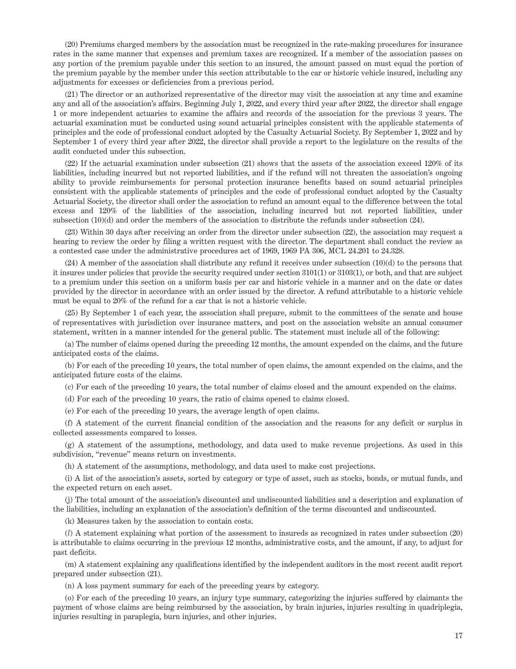(20) Premiums charged members by the association must be recognized in the rate-making procedures for insurance rates in the same manner that expenses and premium taxes are recognized. If a member of the association passes on any portion of the premium payable under this section to an insured, the amount passed on must equal the portion of the premium payable by the member under this section attributable to the car or historic vehicle insured, including any adjustments for excesses or deficiencies from a previous period.

(21) The director or an authorized representative of the director may visit the association at any time and examine any and all of the association's affairs. Beginning July 1, 2022, and every third year after 2022, the director shall engage 1 or more independent actuaries to examine the affairs and records of the association for the previous 3 years. The actuarial examination must be conducted using sound actuarial principles consistent with the applicable statements of principles and the code of professional conduct adopted by the Casualty Actuarial Society. By September 1, 2022 and by September 1 of every third year after 2022, the director shall provide a report to the legislature on the results of the audit conducted under this subsection.

(22) If the actuarial examination under subsection (21) shows that the assets of the association exceed 120% of its liabilities, including incurred but not reported liabilities, and if the refund will not threaten the association's ongoing ability to provide reimbursements for personal protection insurance benefits based on sound actuarial principles consistent with the applicable statements of principles and the code of professional conduct adopted by the Casualty Actuarial Society, the director shall order the association to refund an amount equal to the difference between the total excess and 120% of the liabilities of the association, including incurred but not reported liabilities, under subsection (10)(d) and order the members of the association to distribute the refunds under subsection (24).

(23) Within 30 days after receiving an order from the director under subsection (22), the association may request a hearing to review the order by filing a written request with the director. The department shall conduct the review as a contested case under the administrative procedures act of 1969, 1969 PA 306, MCL 24.201 to 24.328.

 $(24)$  A member of the association shall distribute any refund it receives under subsection  $(10)(d)$  to the persons that it insures under policies that provide the security required under section 3101(1) or 3103(1), or both, and that are subject to a premium under this section on a uniform basis per car and historic vehicle in a manner and on the date or dates provided by the director in accordance with an order issued by the director. A refund attributable to a historic vehicle must be equal to 20% of the refund for a car that is not a historic vehicle.

(25) By September 1 of each year, the association shall prepare, submit to the committees of the senate and house of representatives with jurisdiction over insurance matters, and post on the association website an annual consumer statement, written in a manner intended for the general public. The statement must include all of the following:

(a) The number of claims opened during the preceding 12 months, the amount expended on the claims, and the future anticipated costs of the claims.

(b) For each of the preceding 10 years, the total number of open claims, the amount expended on the claims, and the anticipated future costs of the claims.

(c) For each of the preceding 10 years, the total number of claims closed and the amount expended on the claims.

(d) For each of the preceding 10 years, the ratio of claims opened to claims closed.

(e) For each of the preceding 10 years, the average length of open claims.

(f) A statement of the current financial condition of the association and the reasons for any deficit or surplus in collected assessments compared to losses.

(g) A statement of the assumptions, methodology, and data used to make revenue projections. As used in this subdivision, "revenue" means return on investments.

(h) A statement of the assumptions, methodology, and data used to make cost projections.

(i) A list of the association's assets, sorted by category or type of asset, such as stocks, bonds, or mutual funds, and the expected return on each asset.

(j) The total amount of the association's discounted and undiscounted liabilities and a description and explanation of the liabilities, including an explanation of the association's definition of the terms discounted and undiscounted.

(k) Measures taken by the association to contain costs.

(*l*) A statement explaining what portion of the assessment to insureds as recognized in rates under subsection (20) is attributable to claims occurring in the previous 12 months, administrative costs, and the amount, if any, to adjust for past deficits.

(m) A statement explaining any qualifications identified by the independent auditors in the most recent audit report prepared under subsection (21).

(n) A loss payment summary for each of the preceding years by category.

(o) For each of the preceding 10 years, an injury type summary, categorizing the injuries suffered by claimants the payment of whose claims are being reimbursed by the association, by brain injuries, injuries resulting in quadriplegia, injuries resulting in paraplegia, burn injuries, and other injuries.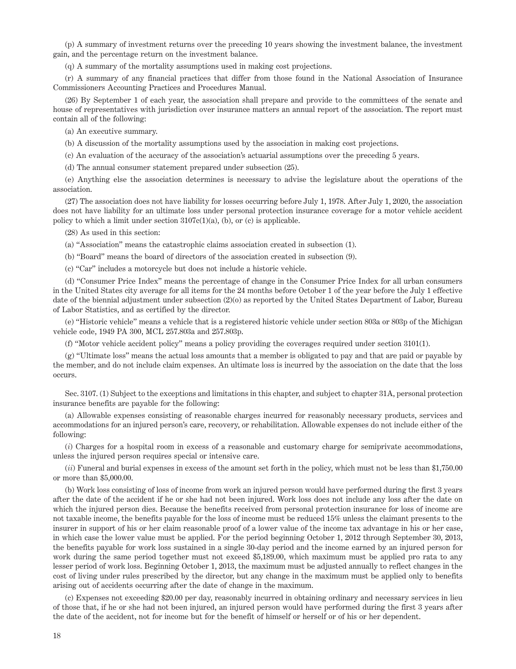(p) A summary of investment returns over the preceding 10 years showing the investment balance, the investment gain, and the percentage return on the investment balance.

(q) A summary of the mortality assumptions used in making cost projections.

(r) A summary of any financial practices that differ from those found in the National Association of Insurance Commissioners Accounting Practices and Procedures Manual.

(26) By September 1 of each year, the association shall prepare and provide to the committees of the senate and house of representatives with jurisdiction over insurance matters an annual report of the association. The report must contain all of the following:

(a) An executive summary.

(b) A discussion of the mortality assumptions used by the association in making cost projections.

(c) An evaluation of the accuracy of the association's actuarial assumptions over the preceding 5 years.

(d) The annual consumer statement prepared under subsection (25).

(e) Anything else the association determines is necessary to advise the legislature about the operations of the association.

(27) The association does not have liability for losses occurring before July 1, 1978. After July 1, 2020, the association does not have liability for an ultimate loss under personal protection insurance coverage for a motor vehicle accident policy to which a limit under section  $3107c(1)(a)$ , (b), or (c) is applicable.

(28) As used in this section:

(a) "Association" means the catastrophic claims association created in subsection (1).

(b) "Board" means the board of directors of the association created in subsection (9).

(c) "Car" includes a motorcycle but does not include a historic vehicle.

(d) "Consumer Price Index" means the percentage of change in the Consumer Price Index for all urban consumers in the United States city average for all items for the 24 months before October 1 of the year before the July 1 effective date of the biennial adjustment under subsection (2)(o) as reported by the United States Department of Labor, Bureau of Labor Statistics, and as certified by the director.

(e) "Historic vehicle" means a vehicle that is a registered historic vehicle under section 803a or 803p of the Michigan vehicle code, 1949 PA 300, MCL 257.803a and 257.803p.

(f) "Motor vehicle accident policy" means a policy providing the coverages required under section 3101(1).

(g) "Ultimate loss" means the actual loss amounts that a member is obligated to pay and that are paid or payable by the member, and do not include claim expenses. An ultimate loss is incurred by the association on the date that the loss occurs.

Sec. 3107. (1) Subject to the exceptions and limitations in this chapter, and subject to chapter 31A, personal protection insurance benefits are payable for the following:

(a) Allowable expenses consisting of reasonable charges incurred for reasonably necessary products, services and accommodations for an injured person's care, recovery, or rehabilitation. Allowable expenses do not include either of the following:

(*i*) Charges for a hospital room in excess of a reasonable and customary charge for semiprivate accommodations, unless the injured person requires special or intensive care.

(*ii*) Funeral and burial expenses in excess of the amount set forth in the policy, which must not be less than \$1,750.00 or more than \$5,000.00.

(b) Work loss consisting of loss of income from work an injured person would have performed during the first 3 years after the date of the accident if he or she had not been injured. Work loss does not include any loss after the date on which the injured person dies. Because the benefits received from personal protection insurance for loss of income are not taxable income, the benefits payable for the loss of income must be reduced 15% unless the claimant presents to the insurer in support of his or her claim reasonable proof of a lower value of the income tax advantage in his or her case, in which case the lower value must be applied. For the period beginning October 1, 2012 through September 30, 2013, the benefits payable for work loss sustained in a single 30-day period and the income earned by an injured person for work during the same period together must not exceed \$5,189.00, which maximum must be applied pro rata to any lesser period of work loss. Beginning October 1, 2013, the maximum must be adjusted annually to reflect changes in the cost of living under rules prescribed by the director, but any change in the maximum must be applied only to benefits arising out of accidents occurring after the date of change in the maximum.

(c) Expenses not exceeding \$20.00 per day, reasonably incurred in obtaining ordinary and necessary services in lieu of those that, if he or she had not been injured, an injured person would have performed during the first 3 years after the date of the accident, not for income but for the benefit of himself or herself or of his or her dependent.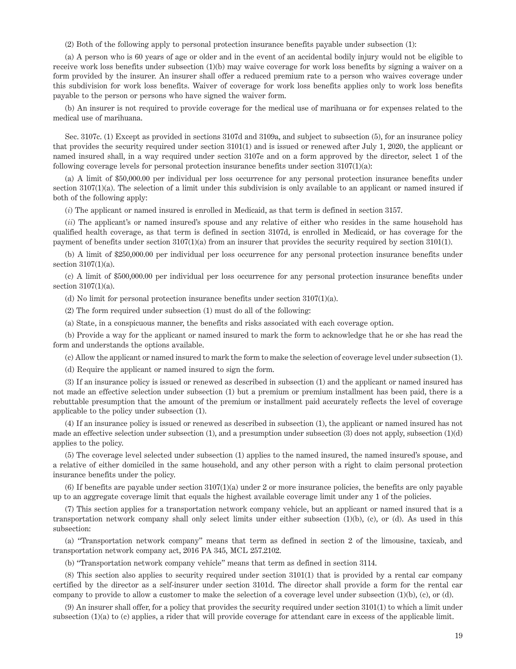(2) Both of the following apply to personal protection insurance benefits payable under subsection (1):

(a) A person who is 60 years of age or older and in the event of an accidental bodily injury would not be eligible to receive work loss benefits under subsection (1)(b) may waive coverage for work loss benefits by signing a waiver on a form provided by the insurer. An insurer shall offer a reduced premium rate to a person who waives coverage under this subdivision for work loss benefits. Waiver of coverage for work loss benefits applies only to work loss benefits payable to the person or persons who have signed the waiver form.

(b) An insurer is not required to provide coverage for the medical use of marihuana or for expenses related to the medical use of marihuana.

Sec. 3107c. (1) Except as provided in sections 3107d and 3109a, and subject to subsection (5), for an insurance policy that provides the security required under section 3101(1) and is issued or renewed after July 1, 2020, the applicant or named insured shall, in a way required under section 3107e and on a form approved by the director, select 1 of the following coverage levels for personal protection insurance benefits under section  $3107(1)(a)$ :

(a) A limit of \$50,000.00 per individual per loss occurrence for any personal protection insurance benefits under section 3107(1)(a). The selection of a limit under this subdivision is only available to an applicant or named insured if both of the following apply:

(*i*) The applicant or named insured is enrolled in Medicaid, as that term is defined in section 3157.

(*ii*) The applicant's or named insured's spouse and any relative of either who resides in the same household has qualified health coverage, as that term is defined in section 3107d, is enrolled in Medicaid, or has coverage for the payment of benefits under section 3107(1)(a) from an insurer that provides the security required by section 3101(1).

(b) A limit of \$250,000.00 per individual per loss occurrence for any personal protection insurance benefits under section 3107(1)(a).

(c) A limit of \$500,000.00 per individual per loss occurrence for any personal protection insurance benefits under section 3107(1)(a).

(d) No limit for personal protection insurance benefits under section 3107(1)(a).

(2) The form required under subsection (1) must do all of the following:

(a) State, in a conspicuous manner, the benefits and risks associated with each coverage option.

(b) Provide a way for the applicant or named insured to mark the form to acknowledge that he or she has read the form and understands the options available.

(c) Allow the applicant or named insured to mark the form to make the selection of coverage level under subsection (1).

(d) Require the applicant or named insured to sign the form.

(3) If an insurance policy is issued or renewed as described in subsection (1) and the applicant or named insured has not made an effective selection under subsection (1) but a premium or premium installment has been paid, there is a rebuttable presumption that the amount of the premium or installment paid accurately reflects the level of coverage applicable to the policy under subsection (1).

(4) If an insurance policy is issued or renewed as described in subsection (1), the applicant or named insured has not made an effective selection under subsection (1), and a presumption under subsection (3) does not apply, subsection (1)(d) applies to the policy.

(5) The coverage level selected under subsection (1) applies to the named insured, the named insured's spouse, and a relative of either domiciled in the same household, and any other person with a right to claim personal protection insurance benefits under the policy.

(6) If benefits are payable under section 3107(1)(a) under 2 or more insurance policies, the benefits are only payable up to an aggregate coverage limit that equals the highest available coverage limit under any 1 of the policies.

(7) This section applies for a transportation network company vehicle, but an applicant or named insured that is a transportation network company shall only select limits under either subsection (1)(b), (c), or (d). As used in this subsection:

(a) "Transportation network company" means that term as defined in section 2 of the limousine, taxicab, and transportation network company act, 2016 PA 345, MCL 257.2102.

(b) "Transportation network company vehicle" means that term as defined in section 3114.

(8) This section also applies to security required under section 3101(1) that is provided by a rental car company certified by the director as a self-insurer under section 3101d. The director shall provide a form for the rental car company to provide to allow a customer to make the selection of a coverage level under subsection  $(1)(b)$ ,  $(c)$ , or  $(d)$ .

(9) An insurer shall offer, for a policy that provides the security required under section 3101(1) to which a limit under subsection (1)(a) to (c) applies, a rider that will provide coverage for attendant care in excess of the applicable limit.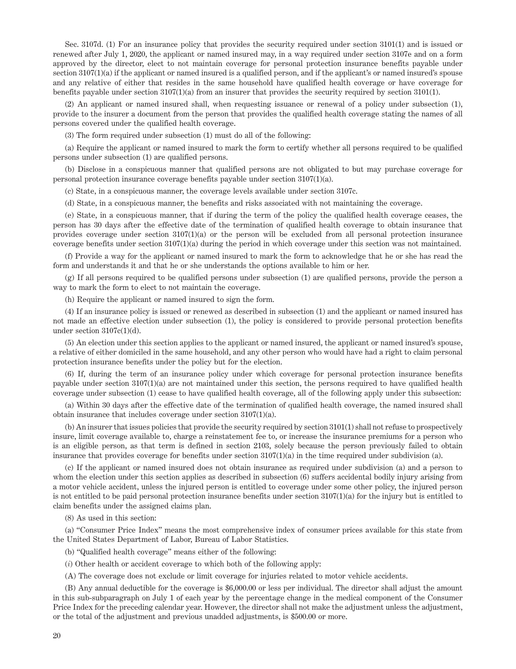Sec. 3107d. (1) For an insurance policy that provides the security required under section 3101(1) and is issued or renewed after July 1, 2020, the applicant or named insured may, in a way required under section 3107e and on a form approved by the director, elect to not maintain coverage for personal protection insurance benefits payable under section 3107(1)(a) if the applicant or named insured is a qualified person, and if the applicant's or named insured's spouse and any relative of either that resides in the same household have qualified health coverage or have coverage for benefits payable under section 3107(1)(a) from an insurer that provides the security required by section 3101(1).

(2) An applicant or named insured shall, when requesting issuance or renewal of a policy under subsection (1), provide to the insurer a document from the person that provides the qualified health coverage stating the names of all persons covered under the qualified health coverage.

(3) The form required under subsection (1) must do all of the following:

(a) Require the applicant or named insured to mark the form to certify whether all persons required to be qualified persons under subsection (1) are qualified persons.

(b) Disclose in a conspicuous manner that qualified persons are not obligated to but may purchase coverage for personal protection insurance coverage benefits payable under section 3107(1)(a).

(c) State, in a conspicuous manner, the coverage levels available under section 3107c.

(d) State, in a conspicuous manner, the benefits and risks associated with not maintaining the coverage.

(e) State, in a conspicuous manner, that if during the term of the policy the qualified health coverage ceases, the person has 30 days after the effective date of the termination of qualified health coverage to obtain insurance that provides coverage under section  $3107(1)(a)$  or the person will be excluded from all personal protection insurance coverage benefits under section 3107(1)(a) during the period in which coverage under this section was not maintained.

(f) Provide a way for the applicant or named insured to mark the form to acknowledge that he or she has read the form and understands it and that he or she understands the options available to him or her.

(g) If all persons required to be qualified persons under subsection (1) are qualified persons, provide the person a way to mark the form to elect to not maintain the coverage.

(h) Require the applicant or named insured to sign the form.

(4) If an insurance policy is issued or renewed as described in subsection (1) and the applicant or named insured has not made an effective election under subsection (1), the policy is considered to provide personal protection benefits under section 3107c(1)(d).

(5) An election under this section applies to the applicant or named insured, the applicant or named insured's spouse, a relative of either domiciled in the same household, and any other person who would have had a right to claim personal protection insurance benefits under the policy but for the election.

(6) If, during the term of an insurance policy under which coverage for personal protection insurance benefits payable under section 3107(1)(a) are not maintained under this section, the persons required to have qualified health coverage under subsection (1) cease to have qualified health coverage, all of the following apply under this subsection:

(a) Within 30 days after the effective date of the termination of qualified health coverage, the named insured shall obtain insurance that includes coverage under section 3107(1)(a).

(b) An insurer that issues policies that provide the security required by section 3101(1) shall not refuse to prospectively insure, limit coverage available to, charge a reinstatement fee to, or increase the insurance premiums for a person who is an eligible person, as that term is defined in section 2103, solely because the person previously failed to obtain insurance that provides coverage for benefits under section  $3107(1)(a)$  in the time required under subdivision (a).

(c) If the applicant or named insured does not obtain insurance as required under subdivision (a) and a person to whom the election under this section applies as described in subsection (6) suffers accidental bodily injury arising from a motor vehicle accident, unless the injured person is entitled to coverage under some other policy, the injured person is not entitled to be paid personal protection insurance benefits under section 3107(1)(a) for the injury but is entitled to claim benefits under the assigned claims plan.

(8) As used in this section:

(a) "Consumer Price Index" means the most comprehensive index of consumer prices available for this state from the United States Department of Labor, Bureau of Labor Statistics.

(b) "Qualified health coverage" means either of the following:

(*i*) Other health or accident coverage to which both of the following apply:

(A) The coverage does not exclude or limit coverage for injuries related to motor vehicle accidents.

(B) Any annual deductible for the coverage is \$6,000.00 or less per individual. The director shall adjust the amount in this sub-subparagraph on July 1 of each year by the percentage change in the medical component of the Consumer Price Index for the preceding calendar year. However, the director shall not make the adjustment unless the adjustment, or the total of the adjustment and previous unadded adjustments, is \$500.00 or more.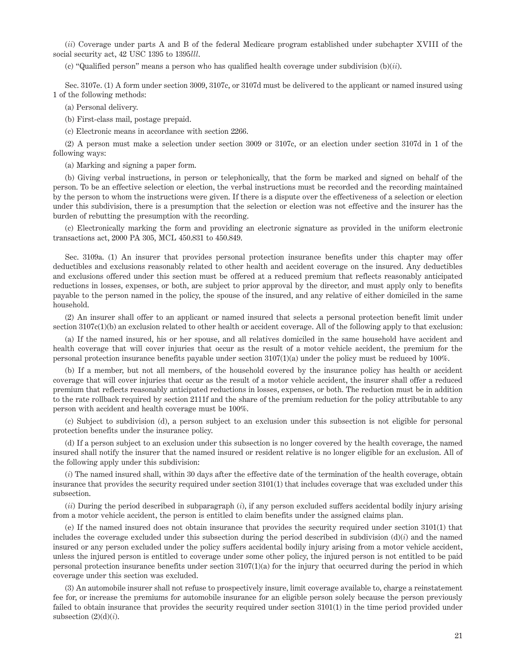(*ii*) Coverage under parts A and B of the federal Medicare program established under subchapter XVIII of the social security act, 42 USC 1395 to 1395*lll*.

(c) "Qualified person" means a person who has qualified health coverage under subdivision (b)(*ii*).

Sec. 3107e. (1) A form under section 3009, 3107c, or 3107d must be delivered to the applicant or named insured using 1 of the following methods:

(a) Personal delivery.

(b) First-class mail, postage prepaid.

(c) Electronic means in accordance with section 2266.

(2) A person must make a selection under section 3009 or 3107c, or an election under section 3107d in 1 of the following ways:

(a) Marking and signing a paper form.

(b) Giving verbal instructions, in person or telephonically, that the form be marked and signed on behalf of the person. To be an effective selection or election, the verbal instructions must be recorded and the recording maintained by the person to whom the instructions were given. If there is a dispute over the effectiveness of a selection or election under this subdivision, there is a presumption that the selection or election was not effective and the insurer has the burden of rebutting the presumption with the recording.

(c) Electronically marking the form and providing an electronic signature as provided in the uniform electronic transactions act, 2000 PA 305, MCL 450.831 to 450.849.

Sec. 3109a. (1) An insurer that provides personal protection insurance benefits under this chapter may offer deductibles and exclusions reasonably related to other health and accident coverage on the insured. Any deductibles and exclusions offered under this section must be offered at a reduced premium that reflects reasonably anticipated reductions in losses, expenses, or both, are subject to prior approval by the director, and must apply only to benefits payable to the person named in the policy, the spouse of the insured, and any relative of either domiciled in the same household.

(2) An insurer shall offer to an applicant or named insured that selects a personal protection benefit limit under section  $3107c(1)(b)$  an exclusion related to other health or accident coverage. All of the following apply to that exclusion:

(a) If the named insured, his or her spouse, and all relatives domiciled in the same household have accident and health coverage that will cover injuries that occur as the result of a motor vehicle accident, the premium for the personal protection insurance benefits payable under section 3107(1)(a) under the policy must be reduced by 100%.

(b) If a member, but not all members, of the household covered by the insurance policy has health or accident coverage that will cover injuries that occur as the result of a motor vehicle accident, the insurer shall offer a reduced premium that reflects reasonably anticipated reductions in losses, expenses, or both. The reduction must be in addition to the rate rollback required by section 2111f and the share of the premium reduction for the policy attributable to any person with accident and health coverage must be 100%.

(c) Subject to subdivision (d), a person subject to an exclusion under this subsection is not eligible for personal protection benefits under the insurance policy.

(d) If a person subject to an exclusion under this subsection is no longer covered by the health coverage, the named insured shall notify the insurer that the named insured or resident relative is no longer eligible for an exclusion. All of the following apply under this subdivision:

(*i*) The named insured shall, within 30 days after the effective date of the termination of the health coverage, obtain insurance that provides the security required under section 3101(1) that includes coverage that was excluded under this subsection.

(*ii*) During the period described in subparagraph (*i*), if any person excluded suffers accidental bodily injury arising from a motor vehicle accident, the person is entitled to claim benefits under the assigned claims plan.

(e) If the named insured does not obtain insurance that provides the security required under section 3101(1) that includes the coverage excluded under this subsection during the period described in subdivision  $(d)(i)$  and the named insured or any person excluded under the policy suffers accidental bodily injury arising from a motor vehicle accident, unless the injured person is entitled to coverage under some other policy, the injured person is not entitled to be paid personal protection insurance benefits under section 3107(1)(a) for the injury that occurred during the period in which coverage under this section was excluded.

(3) An automobile insurer shall not refuse to prospectively insure, limit coverage available to, charge a reinstatement fee for, or increase the premiums for automobile insurance for an eligible person solely because the person previously failed to obtain insurance that provides the security required under section 3101(1) in the time period provided under subsection  $(2)(d)(i)$ .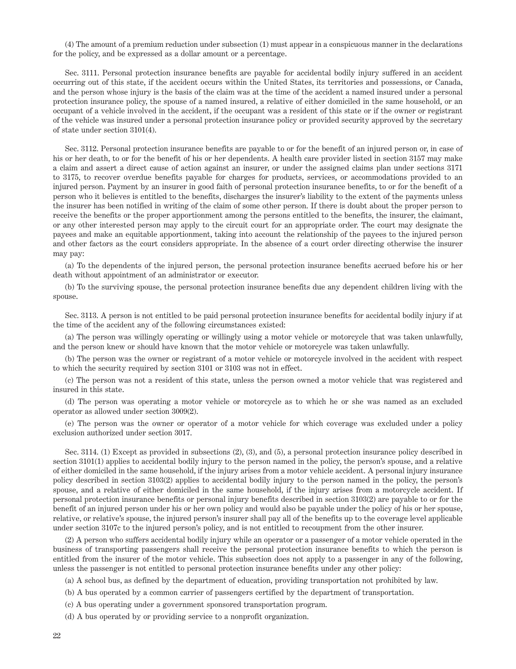(4) The amount of a premium reduction under subsection (1) must appear in a conspicuous manner in the declarations for the policy, and be expressed as a dollar amount or a percentage.

Sec. 3111. Personal protection insurance benefits are payable for accidental bodily injury suffered in an accident occurring out of this state, if the accident occurs within the United States, its territories and possessions, or Canada, and the person whose injury is the basis of the claim was at the time of the accident a named insured under a personal protection insurance policy, the spouse of a named insured, a relative of either domiciled in the same household, or an occupant of a vehicle involved in the accident, if the occupant was a resident of this state or if the owner or registrant of the vehicle was insured under a personal protection insurance policy or provided security approved by the secretary of state under section 3101(4).

Sec. 3112. Personal protection insurance benefits are payable to or for the benefit of an injured person or, in case of his or her death, to or for the benefit of his or her dependents. A health care provider listed in section 3157 may make a claim and assert a direct cause of action against an insurer, or under the assigned claims plan under sections 3171 to 3175, to recover overdue benefits payable for charges for products, services, or accommodations provided to an injured person. Payment by an insurer in good faith of personal protection insurance benefits, to or for the benefit of a person who it believes is entitled to the benefits, discharges the insurer's liability to the extent of the payments unless the insurer has been notified in writing of the claim of some other person. If there is doubt about the proper person to receive the benefits or the proper apportionment among the persons entitled to the benefits, the insurer, the claimant, or any other interested person may apply to the circuit court for an appropriate order. The court may designate the payees and make an equitable apportionment, taking into account the relationship of the payees to the injured person and other factors as the court considers appropriate. In the absence of a court order directing otherwise the insurer may pay:

(a) To the dependents of the injured person, the personal protection insurance benefits accrued before his or her death without appointment of an administrator or executor.

(b) To the surviving spouse, the personal protection insurance benefits due any dependent children living with the spouse.

Sec. 3113. A person is not entitled to be paid personal protection insurance benefits for accidental bodily injury if at the time of the accident any of the following circumstances existed:

(a) The person was willingly operating or willingly using a motor vehicle or motorcycle that was taken unlawfully, and the person knew or should have known that the motor vehicle or motorcycle was taken unlawfully.

(b) The person was the owner or registrant of a motor vehicle or motorcycle involved in the accident with respect to which the security required by section 3101 or 3103 was not in effect.

(c) The person was not a resident of this state, unless the person owned a motor vehicle that was registered and insured in this state.

(d) The person was operating a motor vehicle or motorcycle as to which he or she was named as an excluded operator as allowed under section 3009(2).

(e) The person was the owner or operator of a motor vehicle for which coverage was excluded under a policy exclusion authorized under section 3017.

Sec. 3114. (1) Except as provided in subsections (2), (3), and (5), a personal protection insurance policy described in section 3101(1) applies to accidental bodily injury to the person named in the policy, the person's spouse, and a relative of either domiciled in the same household, if the injury arises from a motor vehicle accident. A personal injury insurance policy described in section 3103(2) applies to accidental bodily injury to the person named in the policy, the person's spouse, and a relative of either domiciled in the same household, if the injury arises from a motorcycle accident. If personal protection insurance benefits or personal injury benefits described in section 3103(2) are payable to or for the benefit of an injured person under his or her own policy and would also be payable under the policy of his or her spouse, relative, or relative's spouse, the injured person's insurer shall pay all of the benefits up to the coverage level applicable under section 3107c to the injured person's policy, and is not entitled to recoupment from the other insurer.

(2) A person who suffers accidental bodily injury while an operator or a passenger of a motor vehicle operated in the business of transporting passengers shall receive the personal protection insurance benefits to which the person is entitled from the insurer of the motor vehicle. This subsection does not apply to a passenger in any of the following, unless the passenger is not entitled to personal protection insurance benefits under any other policy:

(a) A school bus, as defined by the department of education, providing transportation not prohibited by law.

(b) A bus operated by a common carrier of passengers certified by the department of transportation.

(c) A bus operating under a government sponsored transportation program.

(d) A bus operated by or providing service to a nonprofit organization.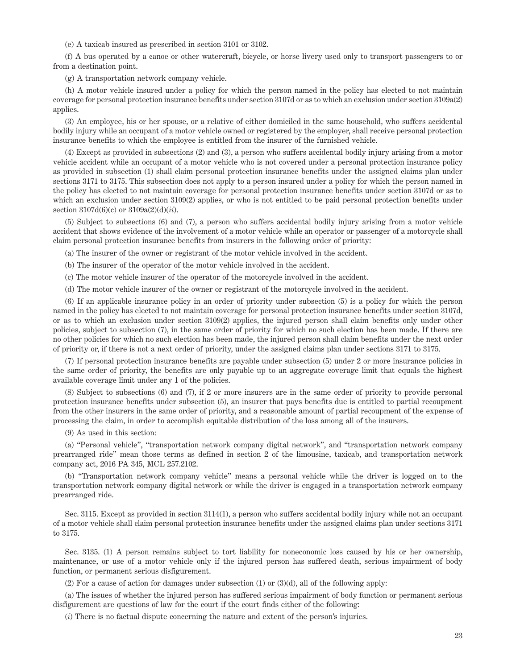(e) A taxicab insured as prescribed in section 3101 or 3102.

(f) A bus operated by a canoe or other watercraft, bicycle, or horse livery used only to transport passengers to or from a destination point.

(g) A transportation network company vehicle.

(h) A motor vehicle insured under a policy for which the person named in the policy has elected to not maintain coverage for personal protection insurance benefits under section 3107d or as to which an exclusion under section 3109a(2) applies.

(3) An employee, his or her spouse, or a relative of either domiciled in the same household, who suffers accidental bodily injury while an occupant of a motor vehicle owned or registered by the employer, shall receive personal protection insurance benefits to which the employee is entitled from the insurer of the furnished vehicle.

(4) Except as provided in subsections (2) and (3), a person who suffers accidental bodily injury arising from a motor vehicle accident while an occupant of a motor vehicle who is not covered under a personal protection insurance policy as provided in subsection (1) shall claim personal protection insurance benefits under the assigned claims plan under sections 3171 to 3175. This subsection does not apply to a person insured under a policy for which the person named in the policy has elected to not maintain coverage for personal protection insurance benefits under section 3107d or as to which an exclusion under section 3109(2) applies, or who is not entitled to be paid personal protection benefits under section 3107d(6)(c) or 3109a(2)(d)(*ii*).

(5) Subject to subsections (6) and (7), a person who suffers accidental bodily injury arising from a motor vehicle accident that shows evidence of the involvement of a motor vehicle while an operator or passenger of a motorcycle shall claim personal protection insurance benefits from insurers in the following order of priority:

(a) The insurer of the owner or registrant of the motor vehicle involved in the accident.

(b) The insurer of the operator of the motor vehicle involved in the accident.

(c) The motor vehicle insurer of the operator of the motorcycle involved in the accident.

(d) The motor vehicle insurer of the owner or registrant of the motorcycle involved in the accident.

(6) If an applicable insurance policy in an order of priority under subsection (5) is a policy for which the person named in the policy has elected to not maintain coverage for personal protection insurance benefits under section 3107d, or as to which an exclusion under section 3109(2) applies, the injured person shall claim benefits only under other policies, subject to subsection (7), in the same order of priority for which no such election has been made. If there are no other policies for which no such election has been made, the injured person shall claim benefits under the next order of priority or, if there is not a next order of priority, under the assigned claims plan under sections 3171 to 3175.

(7) If personal protection insurance benefits are payable under subsection (5) under 2 or more insurance policies in the same order of priority, the benefits are only payable up to an aggregate coverage limit that equals the highest available coverage limit under any 1 of the policies.

(8) Subject to subsections (6) and (7), if 2 or more insurers are in the same order of priority to provide personal protection insurance benefits under subsection (5), an insurer that pays benefits due is entitled to partial recoupment from the other insurers in the same order of priority, and a reasonable amount of partial recoupment of the expense of processing the claim, in order to accomplish equitable distribution of the loss among all of the insurers.

(9) As used in this section:

(a) "Personal vehicle", "transportation network company digital network", and "transportation network company prearranged ride" mean those terms as defined in section 2 of the limousine, taxicab, and transportation network company act, 2016 PA 345, MCL 257.2102.

(b) "Transportation network company vehicle" means a personal vehicle while the driver is logged on to the transportation network company digital network or while the driver is engaged in a transportation network company prearranged ride.

Sec. 3115. Except as provided in section 3114(1), a person who suffers accidental bodily injury while not an occupant of a motor vehicle shall claim personal protection insurance benefits under the assigned claims plan under sections 3171 to 3175.

Sec. 3135. (1) A person remains subject to tort liability for noneconomic loss caused by his or her ownership, maintenance, or use of a motor vehicle only if the injured person has suffered death, serious impairment of body function, or permanent serious disfigurement.

(2) For a cause of action for damages under subsection (1) or (3)(d), all of the following apply:

(a) The issues of whether the injured person has suffered serious impairment of body function or permanent serious disfigurement are questions of law for the court if the court finds either of the following:

(*i*) There is no factual dispute concerning the nature and extent of the person's injuries.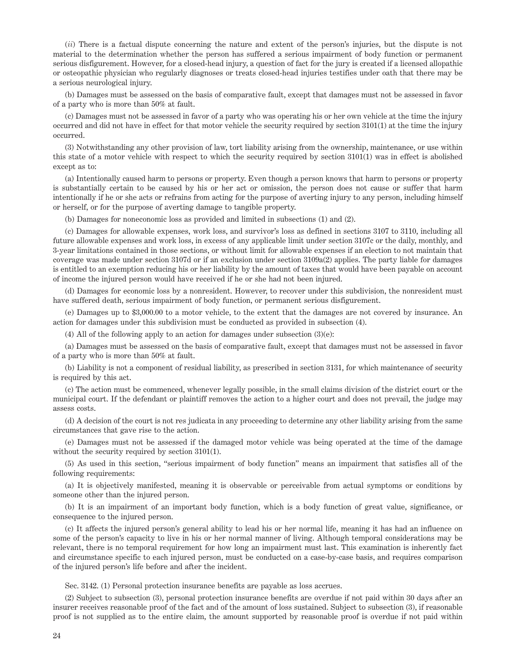(*ii*) There is a factual dispute concerning the nature and extent of the person's injuries, but the dispute is not material to the determination whether the person has suffered a serious impairment of body function or permanent serious disfigurement. However, for a closed-head injury, a question of fact for the jury is created if a licensed allopathic or osteopathic physician who regularly diagnoses or treats closed-head injuries testifies under oath that there may be a serious neurological injury.

(b) Damages must be assessed on the basis of comparative fault, except that damages must not be assessed in favor of a party who is more than 50% at fault.

(c) Damages must not be assessed in favor of a party who was operating his or her own vehicle at the time the injury occurred and did not have in effect for that motor vehicle the security required by section 3101(1) at the time the injury occurred.

(3) Notwithstanding any other provision of law, tort liability arising from the ownership, maintenance, or use within this state of a motor vehicle with respect to which the security required by section 3101(1) was in effect is abolished except as to:

(a) Intentionally caused harm to persons or property. Even though a person knows that harm to persons or property is substantially certain to be caused by his or her act or omission, the person does not cause or suffer that harm intentionally if he or she acts or refrains from acting for the purpose of averting injury to any person, including himself or herself, or for the purpose of averting damage to tangible property.

(b) Damages for noneconomic loss as provided and limited in subsections (1) and (2).

(c) Damages for allowable expenses, work loss, and survivor's loss as defined in sections 3107 to 3110, including all future allowable expenses and work loss, in excess of any applicable limit under section 3107c or the daily, monthly, and 3-year limitations contained in those sections, or without limit for allowable expenses if an election to not maintain that coverage was made under section 3107d or if an exclusion under section 3109a(2) applies. The party liable for damages is entitled to an exemption reducing his or her liability by the amount of taxes that would have been payable on account of income the injured person would have received if he or she had not been injured.

(d) Damages for economic loss by a nonresident. However, to recover under this subdivision, the nonresident must have suffered death, serious impairment of body function, or permanent serious disfigurement.

(e) Damages up to \$3,000.00 to a motor vehicle, to the extent that the damages are not covered by insurance. An action for damages under this subdivision must be conducted as provided in subsection (4).

(4) All of the following apply to an action for damages under subsection (3)(e):

(a) Damages must be assessed on the basis of comparative fault, except that damages must not be assessed in favor of a party who is more than 50% at fault.

(b) Liability is not a component of residual liability, as prescribed in section 3131, for which maintenance of security is required by this act.

(c) The action must be commenced, whenever legally possible, in the small claims division of the district court or the municipal court. If the defendant or plaintiff removes the action to a higher court and does not prevail, the judge may assess costs.

(d) A decision of the court is not res judicata in any proceeding to determine any other liability arising from the same circumstances that gave rise to the action.

(e) Damages must not be assessed if the damaged motor vehicle was being operated at the time of the damage without the security required by section 3101(1).

(5) As used in this section, "serious impairment of body function" means an impairment that satisfies all of the following requirements:

(a) It is objectively manifested, meaning it is observable or perceivable from actual symptoms or conditions by someone other than the injured person.

(b) It is an impairment of an important body function, which is a body function of great value, significance, or consequence to the injured person.

(c) It affects the injured person's general ability to lead his or her normal life, meaning it has had an influence on some of the person's capacity to live in his or her normal manner of living. Although temporal considerations may be relevant, there is no temporal requirement for how long an impairment must last. This examination is inherently fact and circumstance specific to each injured person, must be conducted on a case-by-case basis, and requires comparison of the injured person's life before and after the incident.

Sec. 3142. (1) Personal protection insurance benefits are payable as loss accrues.

(2) Subject to subsection (3), personal protection insurance benefits are overdue if not paid within 30 days after an insurer receives reasonable proof of the fact and of the amount of loss sustained. Subject to subsection (3), if reasonable proof is not supplied as to the entire claim, the amount supported by reasonable proof is overdue if not paid within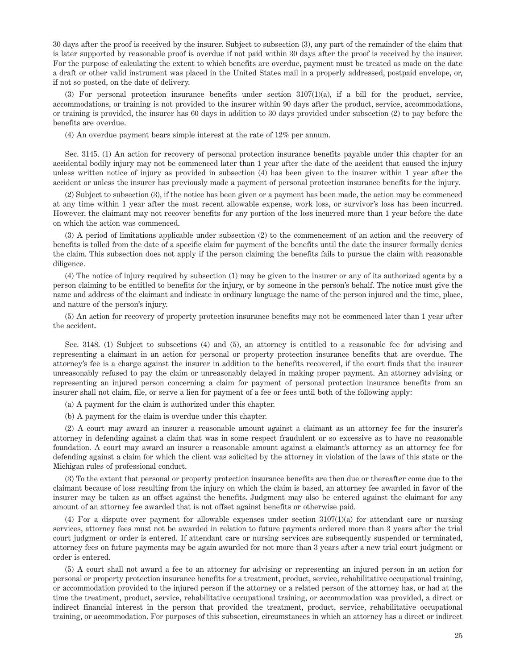30 days after the proof is received by the insurer. Subject to subsection (3), any part of the remainder of the claim that is later supported by reasonable proof is overdue if not paid within 30 days after the proof is received by the insurer. For the purpose of calculating the extent to which benefits are overdue, payment must be treated as made on the date a draft or other valid instrument was placed in the United States mail in a properly addressed, postpaid envelope, or, if not so posted, on the date of delivery.

(3) For personal protection insurance benefits under section 3107(1)(a), if a bill for the product, service, accommodations, or training is not provided to the insurer within 90 days after the product, service, accommodations, or training is provided, the insurer has 60 days in addition to 30 days provided under subsection (2) to pay before the benefits are overdue.

(4) An overdue payment bears simple interest at the rate of 12% per annum.

Sec. 3145. (1) An action for recovery of personal protection insurance benefits payable under this chapter for an accidental bodily injury may not be commenced later than 1 year after the date of the accident that caused the injury unless written notice of injury as provided in subsection (4) has been given to the insurer within 1 year after the accident or unless the insurer has previously made a payment of personal protection insurance benefits for the injury.

(2) Subject to subsection (3), if the notice has been given or a payment has been made, the action may be commenced at any time within 1 year after the most recent allowable expense, work loss, or survivor's loss has been incurred. However, the claimant may not recover benefits for any portion of the loss incurred more than 1 year before the date on which the action was commenced.

(3) A period of limitations applicable under subsection (2) to the commencement of an action and the recovery of benefits is tolled from the date of a specific claim for payment of the benefits until the date the insurer formally denies the claim. This subsection does not apply if the person claiming the benefits fails to pursue the claim with reasonable diligence.

(4) The notice of injury required by subsection (1) may be given to the insurer or any of its authorized agents by a person claiming to be entitled to benefits for the injury, or by someone in the person's behalf. The notice must give the name and address of the claimant and indicate in ordinary language the name of the person injured and the time, place, and nature of the person's injury.

(5) An action for recovery of property protection insurance benefits may not be commenced later than 1 year after the accident.

Sec. 3148. (1) Subject to subsections (4) and (5), an attorney is entitled to a reasonable fee for advising and representing a claimant in an action for personal or property protection insurance benefits that are overdue. The attorney's fee is a charge against the insurer in addition to the benefits recovered, if the court finds that the insurer unreasonably refused to pay the claim or unreasonably delayed in making proper payment. An attorney advising or representing an injured person concerning a claim for payment of personal protection insurance benefits from an insurer shall not claim, file, or serve a lien for payment of a fee or fees until both of the following apply:

(a) A payment for the claim is authorized under this chapter.

(b) A payment for the claim is overdue under this chapter.

(2) A court may award an insurer a reasonable amount against a claimant as an attorney fee for the insurer's attorney in defending against a claim that was in some respect fraudulent or so excessive as to have no reasonable foundation. A court may award an insurer a reasonable amount against a claimant's attorney as an attorney fee for defending against a claim for which the client was solicited by the attorney in violation of the laws of this state or the Michigan rules of professional conduct.

(3) To the extent that personal or property protection insurance benefits are then due or thereafter come due to the claimant because of loss resulting from the injury on which the claim is based, an attorney fee awarded in favor of the insurer may be taken as an offset against the benefits. Judgment may also be entered against the claimant for any amount of an attorney fee awarded that is not offset against benefits or otherwise paid.

(4) For a dispute over payment for allowable expenses under section 3107(1)(a) for attendant care or nursing services, attorney fees must not be awarded in relation to future payments ordered more than 3 years after the trial court judgment or order is entered. If attendant care or nursing services are subsequently suspended or terminated, attorney fees on future payments may be again awarded for not more than 3 years after a new trial court judgment or order is entered.

(5) A court shall not award a fee to an attorney for advising or representing an injured person in an action for personal or property protection insurance benefits for a treatment, product, service, rehabilitative occupational training, or accommodation provided to the injured person if the attorney or a related person of the attorney has, or had at the time the treatment, product, service, rehabilitative occupational training, or accommodation was provided, a direct or indirect financial interest in the person that provided the treatment, product, service, rehabilitative occupational training, or accommodation. For purposes of this subsection, circumstances in which an attorney has a direct or indirect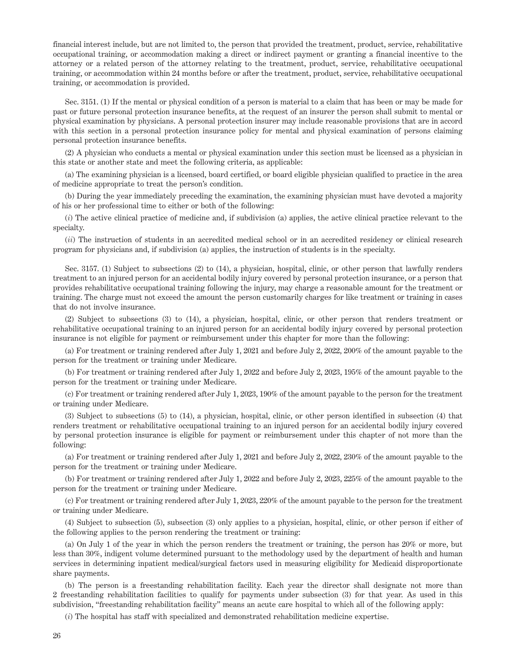financial interest include, but are not limited to, the person that provided the treatment, product, service, rehabilitative occupational training, or accommodation making a direct or indirect payment or granting a financial incentive to the attorney or a related person of the attorney relating to the treatment, product, service, rehabilitative occupational training, or accommodation within 24 months before or after the treatment, product, service, rehabilitative occupational training, or accommodation is provided.

Sec. 3151. (1) If the mental or physical condition of a person is material to a claim that has been or may be made for past or future personal protection insurance benefits, at the request of an insurer the person shall submit to mental or physical examination by physicians. A personal protection insurer may include reasonable provisions that are in accord with this section in a personal protection insurance policy for mental and physical examination of persons claiming personal protection insurance benefits.

(2) A physician who conducts a mental or physical examination under this section must be licensed as a physician in this state or another state and meet the following criteria, as applicable:

(a) The examining physician is a licensed, board certified, or board eligible physician qualified to practice in the area of medicine appropriate to treat the person's condition.

(b) During the year immediately preceding the examination, the examining physician must have devoted a majority of his or her professional time to either or both of the following:

(*i*) The active clinical practice of medicine and, if subdivision (a) applies, the active clinical practice relevant to the specialty.

(*ii*) The instruction of students in an accredited medical school or in an accredited residency or clinical research program for physicians and, if subdivision (a) applies, the instruction of students is in the specialty.

Sec. 3157. (1) Subject to subsections (2) to (14), a physician, hospital, clinic, or other person that lawfully renders treatment to an injured person for an accidental bodily injury covered by personal protection insurance, or a person that provides rehabilitative occupational training following the injury, may charge a reasonable amount for the treatment or training. The charge must not exceed the amount the person customarily charges for like treatment or training in cases that do not involve insurance.

(2) Subject to subsections (3) to (14), a physician, hospital, clinic, or other person that renders treatment or rehabilitative occupational training to an injured person for an accidental bodily injury covered by personal protection insurance is not eligible for payment or reimbursement under this chapter for more than the following:

(a) For treatment or training rendered after July 1, 2021 and before July 2, 2022, 200% of the amount payable to the person for the treatment or training under Medicare.

(b) For treatment or training rendered after July 1, 2022 and before July 2, 2023, 195% of the amount payable to the person for the treatment or training under Medicare.

(c) For treatment or training rendered after July 1, 2023, 190% of the amount payable to the person for the treatment or training under Medicare.

(3) Subject to subsections (5) to (14), a physician, hospital, clinic, or other person identified in subsection (4) that renders treatment or rehabilitative occupational training to an injured person for an accidental bodily injury covered by personal protection insurance is eligible for payment or reimbursement under this chapter of not more than the following:

(a) For treatment or training rendered after July 1, 2021 and before July 2, 2022, 230% of the amount payable to the person for the treatment or training under Medicare.

(b) For treatment or training rendered after July 1, 2022 and before July 2, 2023, 225% of the amount payable to the person for the treatment or training under Medicare.

(c) For treatment or training rendered after July 1, 2023, 220% of the amount payable to the person for the treatment or training under Medicare.

(4) Subject to subsection (5), subsection (3) only applies to a physician, hospital, clinic, or other person if either of the following applies to the person rendering the treatment or training:

(a) On July 1 of the year in which the person renders the treatment or training, the person has 20% or more, but less than 30%, indigent volume determined pursuant to the methodology used by the department of health and human services in determining inpatient medical/surgical factors used in measuring eligibility for Medicaid disproportionate share payments.

(b) The person is a freestanding rehabilitation facility. Each year the director shall designate not more than 2 freestanding rehabilitation facilities to qualify for payments under subsection (3) for that year. As used in this subdivision, "freestanding rehabilitation facility" means an acute care hospital to which all of the following apply:

(*i*) The hospital has staff with specialized and demonstrated rehabilitation medicine expertise.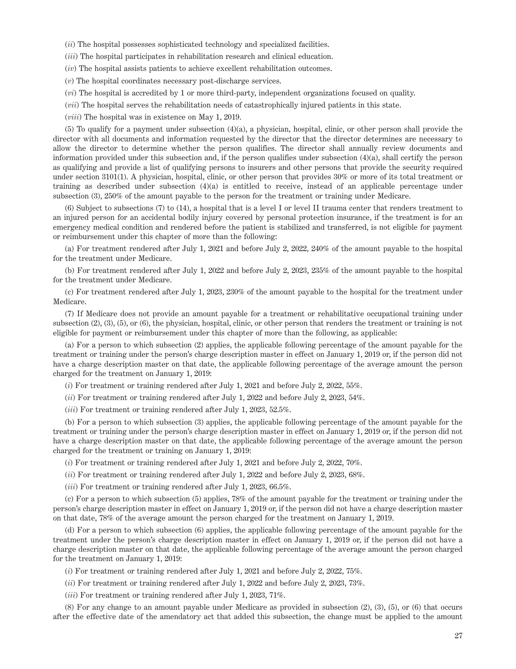(*ii*) The hospital possesses sophisticated technology and specialized facilities.

(*iii*) The hospital participates in rehabilitation research and clinical education.

(*iv*) The hospital assists patients to achieve excellent rehabilitation outcomes.

(*v*) The hospital coordinates necessary post-discharge services.

(*vi*) The hospital is accredited by 1 or more third-party, independent organizations focused on quality.

(*vii*) The hospital serves the rehabilitation needs of catastrophically injured patients in this state.

(*viii*) The hospital was in existence on May 1, 2019.

(5) To qualify for a payment under subsection (4)(a), a physician, hospital, clinic, or other person shall provide the director with all documents and information requested by the director that the director determines are necessary to allow the director to determine whether the person qualifies. The director shall annually review documents and information provided under this subsection and, if the person qualifies under subsection (4)(a), shall certify the person as qualifying and provide a list of qualifying persons to insurers and other persons that provide the security required under section 3101(1). A physician, hospital, clinic, or other person that provides 30% or more of its total treatment or training as described under subsection (4)(a) is entitled to receive, instead of an applicable percentage under subsection (3), 250% of the amount payable to the person for the treatment or training under Medicare.

(6) Subject to subsections (7) to (14), a hospital that is a level I or level II trauma center that renders treatment to an injured person for an accidental bodily injury covered by personal protection insurance, if the treatment is for an emergency medical condition and rendered before the patient is stabilized and transferred, is not eligible for payment or reimbursement under this chapter of more than the following:

(a) For treatment rendered after July 1, 2021 and before July 2, 2022, 240% of the amount payable to the hospital for the treatment under Medicare.

(b) For treatment rendered after July 1, 2022 and before July 2, 2023, 235% of the amount payable to the hospital for the treatment under Medicare.

(c) For treatment rendered after July 1, 2023, 230% of the amount payable to the hospital for the treatment under Medicare.

(7) If Medicare does not provide an amount payable for a treatment or rehabilitative occupational training under subsection (2), (3), (5), or (6), the physician, hospital, clinic, or other person that renders the treatment or training is not eligible for payment or reimbursement under this chapter of more than the following, as applicable:

(a) For a person to which subsection (2) applies, the applicable following percentage of the amount payable for the treatment or training under the person's charge description master in effect on January 1, 2019 or, if the person did not have a charge description master on that date, the applicable following percentage of the average amount the person charged for the treatment on January 1, 2019:

(*i*) For treatment or training rendered after July 1, 2021 and before July 2, 2022, 55%.

(*ii*) For treatment or training rendered after July 1, 2022 and before July 2, 2023, 54%.

(*iii*) For treatment or training rendered after July 1, 2023, 52.5%.

(b) For a person to which subsection (3) applies, the applicable following percentage of the amount payable for the treatment or training under the person's charge description master in effect on January 1, 2019 or, if the person did not have a charge description master on that date, the applicable following percentage of the average amount the person charged for the treatment or training on January 1, 2019:

(*i*) For treatment or training rendered after July 1, 2021 and before July 2, 2022, 70%.

(*ii*) For treatment or training rendered after July 1, 2022 and before July 2, 2023, 68%.

(*iii*) For treatment or training rendered after July 1, 2023, 66.5%.

(c) For a person to which subsection (5) applies, 78% of the amount payable for the treatment or training under the person's charge description master in effect on January 1, 2019 or, if the person did not have a charge description master on that date, 78% of the average amount the person charged for the treatment on January 1, 2019.

(d) For a person to which subsection (6) applies, the applicable following percentage of the amount payable for the treatment under the person's charge description master in effect on January 1, 2019 or, if the person did not have a charge description master on that date, the applicable following percentage of the average amount the person charged for the treatment on January 1, 2019:

(*i*) For treatment or training rendered after July 1, 2021 and before July 2, 2022, 75%.

(*ii*) For treatment or training rendered after July 1, 2022 and before July 2, 2023, 73%.

(*iii*) For treatment or training rendered after July 1, 2023, 71%.

(8) For any change to an amount payable under Medicare as provided in subsection (2), (3), (5), or (6) that occurs after the effective date of the amendatory act that added this subsection, the change must be applied to the amount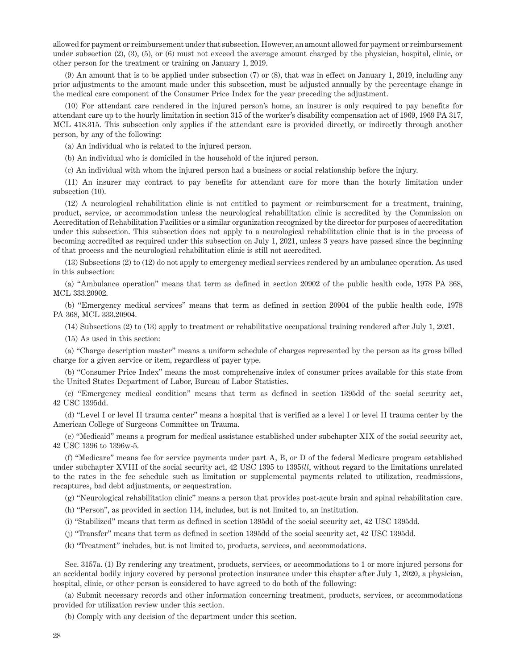allowed for payment or reimbursement under that subsection. However, an amount allowed for payment or reimbursement under subsection (2), (3), (5), or (6) must not exceed the average amount charged by the physician, hospital, clinic, or other person for the treatment or training on January 1, 2019.

(9) An amount that is to be applied under subsection (7) or (8), that was in effect on January 1, 2019, including any prior adjustments to the amount made under this subsection, must be adjusted annually by the percentage change in the medical care component of the Consumer Price Index for the year preceding the adjustment.

(10) For attendant care rendered in the injured person's home, an insurer is only required to pay benefits for attendant care up to the hourly limitation in section 315 of the worker's disability compensation act of 1969, 1969 PA 317, MCL 418.315. This subsection only applies if the attendant care is provided directly, or indirectly through another person, by any of the following:

(a) An individual who is related to the injured person.

(b) An individual who is domiciled in the household of the injured person.

(c) An individual with whom the injured person had a business or social relationship before the injury.

(11) An insurer may contract to pay benefits for attendant care for more than the hourly limitation under subsection (10).

(12) A neurological rehabilitation clinic is not entitled to payment or reimbursement for a treatment, training, product, service, or accommodation unless the neurological rehabilitation clinic is accredited by the Commission on Accreditation of Rehabilitation Facilities or a similar organization recognized by the director for purposes of accreditation under this subsection. This subsection does not apply to a neurological rehabilitation clinic that is in the process of becoming accredited as required under this subsection on July 1, 2021, unless 3 years have passed since the beginning of that process and the neurological rehabilitation clinic is still not accredited.

(13) Subsections (2) to (12) do not apply to emergency medical services rendered by an ambulance operation. As used in this subsection:

(a) "Ambulance operation" means that term as defined in section 20902 of the public health code, 1978 PA 368, MCL 333.20902.

(b) "Emergency medical services" means that term as defined in section 20904 of the public health code, 1978 PA 368, MCL 333.20904.

(14) Subsections (2) to (13) apply to treatment or rehabilitative occupational training rendered after July 1, 2021.

(15) As used in this section:

(a) "Charge description master" means a uniform schedule of charges represented by the person as its gross billed charge for a given service or item, regardless of payer type.

(b) "Consumer Price Index" means the most comprehensive index of consumer prices available for this state from the United States Department of Labor, Bureau of Labor Statistics.

(c) "Emergency medical condition" means that term as defined in section 1395dd of the social security act, 42 USC 1395dd.

(d) "Level I or level II trauma center" means a hospital that is verified as a level I or level II trauma center by the American College of Surgeons Committee on Trauma.

(e) "Medicaid" means a program for medical assistance established under subchapter XIX of the social security act, 42 USC 1396 to 1396w-5.

(f) "Medicare" means fee for service payments under part A, B, or D of the federal Medicare program established under subchapter XVIII of the social security act, 42 USC 1395 to 1395*lll*, without regard to the limitations unrelated to the rates in the fee schedule such as limitation or supplemental payments related to utilization, readmissions, recaptures, bad debt adjustments, or sequestration.

(g) "Neurological rehabilitation clinic" means a person that provides post-acute brain and spinal rehabilitation care.

(h) "Person", as provided in section 114, includes, but is not limited to, an institution.

(i) "Stabilized" means that term as defined in section 1395dd of the social security act, 42 USC 1395dd.

(j) "Transfer" means that term as defined in section 1395dd of the social security act, 42 USC 1395dd.

(k) "Treatment" includes, but is not limited to, products, services, and accommodations.

Sec. 3157a. (1) By rendering any treatment, products, services, or accommodations to 1 or more injured persons for an accidental bodily injury covered by personal protection insurance under this chapter after July 1, 2020, a physician, hospital, clinic, or other person is considered to have agreed to do both of the following:

(a) Submit necessary records and other information concerning treatment, products, services, or accommodations provided for utilization review under this section.

(b) Comply with any decision of the department under this section.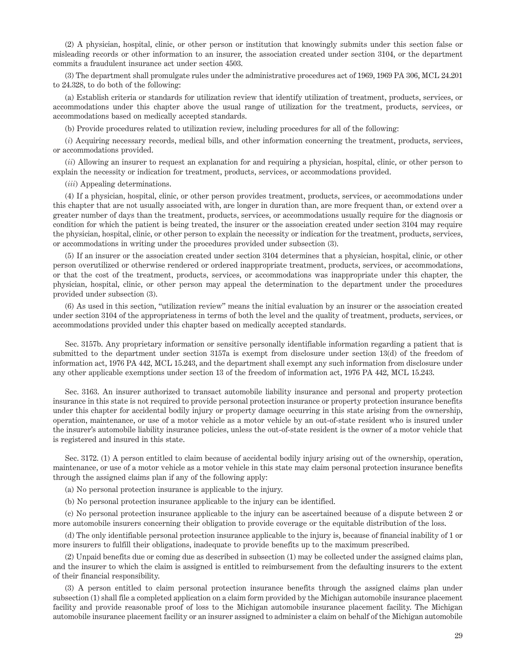(2) A physician, hospital, clinic, or other person or institution that knowingly submits under this section false or misleading records or other information to an insurer, the association created under section 3104, or the department commits a fraudulent insurance act under section 4503.

(3) The department shall promulgate rules under the administrative procedures act of 1969, 1969 PA 306, MCL 24.201 to 24.328, to do both of the following:

(a) Establish criteria or standards for utilization review that identify utilization of treatment, products, services, or accommodations under this chapter above the usual range of utilization for the treatment, products, services, or accommodations based on medically accepted standards.

(b) Provide procedures related to utilization review, including procedures for all of the following:

(*i*) Acquiring necessary records, medical bills, and other information concerning the treatment, products, services, or accommodations provided.

(*ii*) Allowing an insurer to request an explanation for and requiring a physician, hospital, clinic, or other person to explain the necessity or indication for treatment, products, services, or accommodations provided.

(*iii*) Appealing determinations.

(4) If a physician, hospital, clinic, or other person provides treatment, products, services, or accommodations under this chapter that are not usually associated with, are longer in duration than, are more frequent than, or extend over a greater number of days than the treatment, products, services, or accommodations usually require for the diagnosis or condition for which the patient is being treated, the insurer or the association created under section 3104 may require the physician, hospital, clinic, or other person to explain the necessity or indication for the treatment, products, services, or accommodations in writing under the procedures provided under subsection (3).

(5) If an insurer or the association created under section 3104 determines that a physician, hospital, clinic, or other person overutilized or otherwise rendered or ordered inappropriate treatment, products, services, or accommodations, or that the cost of the treatment, products, services, or accommodations was inappropriate under this chapter, the physician, hospital, clinic, or other person may appeal the determination to the department under the procedures provided under subsection (3).

(6) As used in this section, "utilization review" means the initial evaluation by an insurer or the association created under section 3104 of the appropriateness in terms of both the level and the quality of treatment, products, services, or accommodations provided under this chapter based on medically accepted standards.

Sec. 3157b. Any proprietary information or sensitive personally identifiable information regarding a patient that is submitted to the department under section 3157a is exempt from disclosure under section 13(d) of the freedom of information act, 1976 PA 442, MCL 15.243, and the department shall exempt any such information from disclosure under any other applicable exemptions under section 13 of the freedom of information act, 1976 PA 442, MCL 15.243.

Sec. 3163. An insurer authorized to transact automobile liability insurance and personal and property protection insurance in this state is not required to provide personal protection insurance or property protection insurance benefits under this chapter for accidental bodily injury or property damage occurring in this state arising from the ownership, operation, maintenance, or use of a motor vehicle as a motor vehicle by an out-of-state resident who is insured under the insurer's automobile liability insurance policies, unless the out-of-state resident is the owner of a motor vehicle that is registered and insured in this state.

Sec. 3172. (1) A person entitled to claim because of accidental bodily injury arising out of the ownership, operation, maintenance, or use of a motor vehicle as a motor vehicle in this state may claim personal protection insurance benefits through the assigned claims plan if any of the following apply:

(a) No personal protection insurance is applicable to the injury.

(b) No personal protection insurance applicable to the injury can be identified.

(c) No personal protection insurance applicable to the injury can be ascertained because of a dispute between 2 or more automobile insurers concerning their obligation to provide coverage or the equitable distribution of the loss.

(d) The only identifiable personal protection insurance applicable to the injury is, because of financial inability of 1 or more insurers to fulfill their obligations, inadequate to provide benefits up to the maximum prescribed.

(2) Unpaid benefits due or coming due as described in subsection (1) may be collected under the assigned claims plan, and the insurer to which the claim is assigned is entitled to reimbursement from the defaulting insurers to the extent of their financial responsibility.

(3) A person entitled to claim personal protection insurance benefits through the assigned claims plan under subsection (1) shall file a completed application on a claim form provided by the Michigan automobile insurance placement facility and provide reasonable proof of loss to the Michigan automobile insurance placement facility. The Michigan automobile insurance placement facility or an insurer assigned to administer a claim on behalf of the Michigan automobile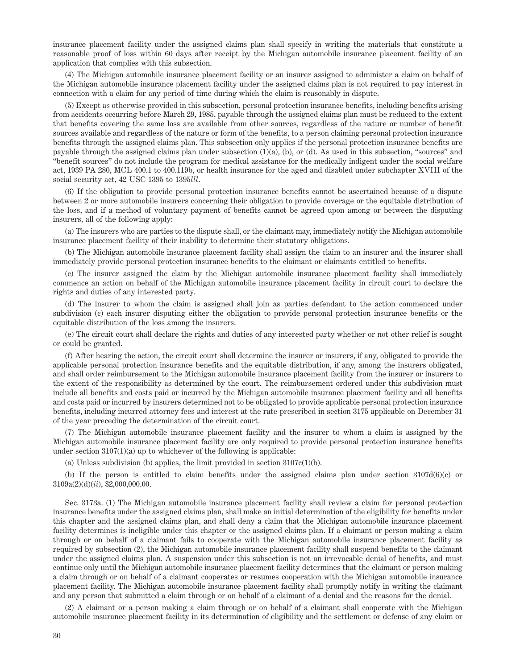insurance placement facility under the assigned claims plan shall specify in writing the materials that constitute a reasonable proof of loss within 60 days after receipt by the Michigan automobile insurance placement facility of an application that complies with this subsection.

(4) The Michigan automobile insurance placement facility or an insurer assigned to administer a claim on behalf of the Michigan automobile insurance placement facility under the assigned claims plan is not required to pay interest in connection with a claim for any period of time during which the claim is reasonably in dispute.

(5) Except as otherwise provided in this subsection, personal protection insurance benefits, including benefits arising from accidents occurring before March 29, 1985, payable through the assigned claims plan must be reduced to the extent that benefits covering the same loss are available from other sources, regardless of the nature or number of benefit sources available and regardless of the nature or form of the benefits, to a person claiming personal protection insurance benefits through the assigned claims plan. This subsection only applies if the personal protection insurance benefits are payable through the assigned claims plan under subsection (1)(a), (b), or (d). As used in this subsection, "sources" and "benefit sources" do not include the program for medical assistance for the medically indigent under the social welfare act, 1939 PA 280, MCL 400.1 to 400.119b, or health insurance for the aged and disabled under subchapter XVIII of the social security act, 42 USC 1395 to 1395*lll*.

(6) If the obligation to provide personal protection insurance benefits cannot be ascertained because of a dispute between 2 or more automobile insurers concerning their obligation to provide coverage or the equitable distribution of the loss, and if a method of voluntary payment of benefits cannot be agreed upon among or between the disputing insurers, all of the following apply:

(a) The insurers who are parties to the dispute shall, or the claimant may, immediately notify the Michigan automobile insurance placement facility of their inability to determine their statutory obligations.

(b) The Michigan automobile insurance placement facility shall assign the claim to an insurer and the insurer shall immediately provide personal protection insurance benefits to the claimant or claimants entitled to benefits.

(c) The insurer assigned the claim by the Michigan automobile insurance placement facility shall immediately commence an action on behalf of the Michigan automobile insurance placement facility in circuit court to declare the rights and duties of any interested party.

(d) The insurer to whom the claim is assigned shall join as parties defendant to the action commenced under subdivision (c) each insurer disputing either the obligation to provide personal protection insurance benefits or the equitable distribution of the loss among the insurers.

(e) The circuit court shall declare the rights and duties of any interested party whether or not other relief is sought or could be granted.

(f) After hearing the action, the circuit court shall determine the insurer or insurers, if any, obligated to provide the applicable personal protection insurance benefits and the equitable distribution, if any, among the insurers obligated, and shall order reimbursement to the Michigan automobile insurance placement facility from the insurer or insurers to the extent of the responsibility as determined by the court. The reimbursement ordered under this subdivision must include all benefits and costs paid or incurred by the Michigan automobile insurance placement facility and all benefits and costs paid or incurred by insurers determined not to be obligated to provide applicable personal protection insurance benefits, including incurred attorney fees and interest at the rate prescribed in section 3175 applicable on December 31 of the year preceding the determination of the circuit court.

(7) The Michigan automobile insurance placement facility and the insurer to whom a claim is assigned by the Michigan automobile insurance placement facility are only required to provide personal protection insurance benefits under section  $3107(1)(a)$  up to whichever of the following is applicable:

(a) Unless subdivision (b) applies, the limit provided in section 3107c(1)(b).

(b) If the person is entitled to claim benefits under the assigned claims plan under section 3107d(6)(c) or 3109a(2)(d)(*ii*), \$2,000,000.00.

Sec. 3173a. (1) The Michigan automobile insurance placement facility shall review a claim for personal protection insurance benefits under the assigned claims plan, shall make an initial determination of the eligibility for benefits under this chapter and the assigned claims plan, and shall deny a claim that the Michigan automobile insurance placement facility determines is ineligible under this chapter or the assigned claims plan. If a claimant or person making a claim through or on behalf of a claimant fails to cooperate with the Michigan automobile insurance placement facility as required by subsection (2), the Michigan automobile insurance placement facility shall suspend benefits to the claimant under the assigned claims plan. A suspension under this subsection is not an irrevocable denial of benefits, and must continue only until the Michigan automobile insurance placement facility determines that the claimant or person making a claim through or on behalf of a claimant cooperates or resumes cooperation with the Michigan automobile insurance placement facility. The Michigan automobile insurance placement facility shall promptly notify in writing the claimant and any person that submitted a claim through or on behalf of a claimant of a denial and the reasons for the denial.

(2) A claimant or a person making a claim through or on behalf of a claimant shall cooperate with the Michigan automobile insurance placement facility in its determination of eligibility and the settlement or defense of any claim or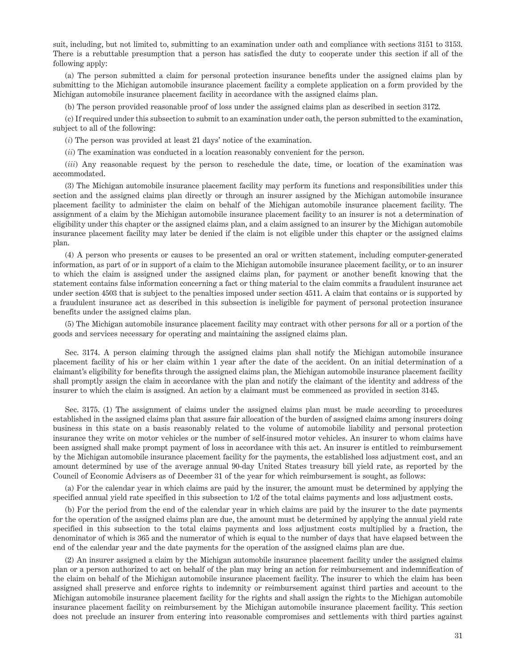suit, including, but not limited to, submitting to an examination under oath and compliance with sections 3151 to 3153. There is a rebuttable presumption that a person has satisfied the duty to cooperate under this section if all of the following apply:

(a) The person submitted a claim for personal protection insurance benefits under the assigned claims plan by submitting to the Michigan automobile insurance placement facility a complete application on a form provided by the Michigan automobile insurance placement facility in accordance with the assigned claims plan.

(b) The person provided reasonable proof of loss under the assigned claims plan as described in section 3172.

(c) If required under this subsection to submit to an examination under oath, the person submitted to the examination, subject to all of the following:

(*i*) The person was provided at least 21 days' notice of the examination.

(*ii*) The examination was conducted in a location reasonably convenient for the person.

(*iii*) Any reasonable request by the person to reschedule the date, time, or location of the examination was accommodated.

(3) The Michigan automobile insurance placement facility may perform its functions and responsibilities under this section and the assigned claims plan directly or through an insurer assigned by the Michigan automobile insurance placement facility to administer the claim on behalf of the Michigan automobile insurance placement facility. The assignment of a claim by the Michigan automobile insurance placement facility to an insurer is not a determination of eligibility under this chapter or the assigned claims plan, and a claim assigned to an insurer by the Michigan automobile insurance placement facility may later be denied if the claim is not eligible under this chapter or the assigned claims plan.

(4) A person who presents or causes to be presented an oral or written statement, including computer-generated information, as part of or in support of a claim to the Michigan automobile insurance placement facility, or to an insurer to which the claim is assigned under the assigned claims plan, for payment or another benefit knowing that the statement contains false information concerning a fact or thing material to the claim commits a fraudulent insurance act under section 4503 that is subject to the penalties imposed under section 4511. A claim that contains or is supported by a fraudulent insurance act as described in this subsection is ineligible for payment of personal protection insurance benefits under the assigned claims plan.

(5) The Michigan automobile insurance placement facility may contract with other persons for all or a portion of the goods and services necessary for operating and maintaining the assigned claims plan.

Sec. 3174. A person claiming through the assigned claims plan shall notify the Michigan automobile insurance placement facility of his or her claim within 1 year after the date of the accident. On an initial determination of a claimant's eligibility for benefits through the assigned claims plan, the Michigan automobile insurance placement facility shall promptly assign the claim in accordance with the plan and notify the claimant of the identity and address of the insurer to which the claim is assigned. An action by a claimant must be commenced as provided in section 3145.

Sec. 3175. (1) The assignment of claims under the assigned claims plan must be made according to procedures established in the assigned claims plan that assure fair allocation of the burden of assigned claims among insurers doing business in this state on a basis reasonably related to the volume of automobile liability and personal protection insurance they write on motor vehicles or the number of self-insured motor vehicles. An insurer to whom claims have been assigned shall make prompt payment of loss in accordance with this act. An insurer is entitled to reimbursement by the Michigan automobile insurance placement facility for the payments, the established loss adjustment cost, and an amount determined by use of the average annual 90-day United States treasury bill yield rate, as reported by the Council of Economic Advisers as of December 31 of the year for which reimbursement is sought, as follows:

(a) For the calendar year in which claims are paid by the insurer, the amount must be determined by applying the specified annual yield rate specified in this subsection to 1/2 of the total claims payments and loss adjustment costs.

(b) For the period from the end of the calendar year in which claims are paid by the insurer to the date payments for the operation of the assigned claims plan are due, the amount must be determined by applying the annual yield rate specified in this subsection to the total claims payments and loss adjustment costs multiplied by a fraction, the denominator of which is 365 and the numerator of which is equal to the number of days that have elapsed between the end of the calendar year and the date payments for the operation of the assigned claims plan are due.

(2) An insurer assigned a claim by the Michigan automobile insurance placement facility under the assigned claims plan or a person authorized to act on behalf of the plan may bring an action for reimbursement and indemnification of the claim on behalf of the Michigan automobile insurance placement facility. The insurer to which the claim has been assigned shall preserve and enforce rights to indemnity or reimbursement against third parties and account to the Michigan automobile insurance placement facility for the rights and shall assign the rights to the Michigan automobile insurance placement facility on reimbursement by the Michigan automobile insurance placement facility. This section does not preclude an insurer from entering into reasonable compromises and settlements with third parties against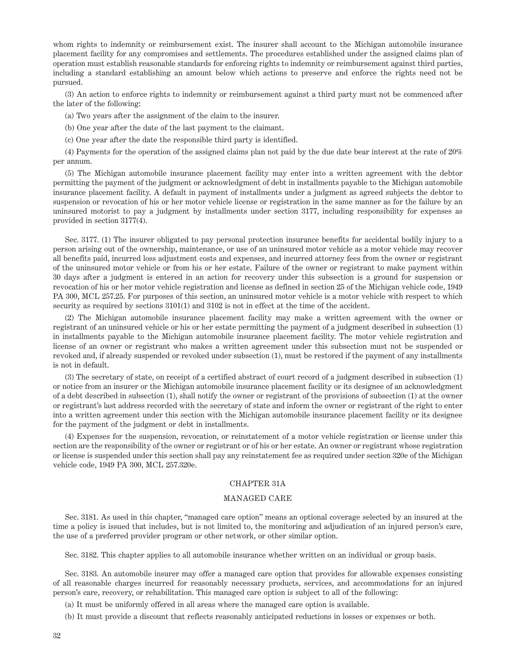whom rights to indemnity or reimbursement exist. The insurer shall account to the Michigan automobile insurance placement facility for any compromises and settlements. The procedures established under the assigned claims plan of operation must establish reasonable standards for enforcing rights to indemnity or reimbursement against third parties, including a standard establishing an amount below which actions to preserve and enforce the rights need not be pursued.

(3) An action to enforce rights to indemnity or reimbursement against a third party must not be commenced after the later of the following:

(a) Two years after the assignment of the claim to the insurer.

(b) One year after the date of the last payment to the claimant.

(c) One year after the date the responsible third party is identified.

(4) Payments for the operation of the assigned claims plan not paid by the due date bear interest at the rate of 20% per annum.

(5) The Michigan automobile insurance placement facility may enter into a written agreement with the debtor permitting the payment of the judgment or acknowledgment of debt in installments payable to the Michigan automobile insurance placement facility. A default in payment of installments under a judgment as agreed subjects the debtor to suspension or revocation of his or her motor vehicle license or registration in the same manner as for the failure by an uninsured motorist to pay a judgment by installments under section 3177, including responsibility for expenses as provided in section 3177(4).

Sec. 3177. (1) The insurer obligated to pay personal protection insurance benefits for accidental bodily injury to a person arising out of the ownership, maintenance, or use of an uninsured motor vehicle as a motor vehicle may recover all benefits paid, incurred loss adjustment costs and expenses, and incurred attorney fees from the owner or registrant of the uninsured motor vehicle or from his or her estate. Failure of the owner or registrant to make payment within 30 days after a judgment is entered in an action for recovery under this subsection is a ground for suspension or revocation of his or her motor vehicle registration and license as defined in section 25 of the Michigan vehicle code, 1949 PA 300, MCL 257.25. For purposes of this section, an uninsured motor vehicle is a motor vehicle with respect to which security as required by sections  $3101(1)$  and  $3102$  is not in effect at the time of the accident.

(2) The Michigan automobile insurance placement facility may make a written agreement with the owner or registrant of an uninsured vehicle or his or her estate permitting the payment of a judgment described in subsection (1) in installments payable to the Michigan automobile insurance placement facility. The motor vehicle registration and license of an owner or registrant who makes a written agreement under this subsection must not be suspended or revoked and, if already suspended or revoked under subsection (1), must be restored if the payment of any installments is not in default.

(3) The secretary of state, on receipt of a certified abstract of court record of a judgment described in subsection (1) or notice from an insurer or the Michigan automobile insurance placement facility or its designee of an acknowledgment of a debt described in subsection (1), shall notify the owner or registrant of the provisions of subsection (1) at the owner or registrant's last address recorded with the secretary of state and inform the owner or registrant of the right to enter into a written agreement under this section with the Michigan automobile insurance placement facility or its designee for the payment of the judgment or debt in installments.

(4) Expenses for the suspension, revocation, or reinstatement of a motor vehicle registration or license under this section are the responsibility of the owner or registrant or of his or her estate. An owner or registrant whose registration or license is suspended under this section shall pay any reinstatement fee as required under section 320e of the Michigan vehicle code, 1949 PA 300, MCL 257.320e.

# CHAPTER 31A

#### MANAGED CARE

Sec. 3181. As used in this chapter, "managed care option" means an optional coverage selected by an insured at the time a policy is issued that includes, but is not limited to, the monitoring and adjudication of an injured person's care, the use of a preferred provider program or other network, or other similar option.

Sec. 3182. This chapter applies to all automobile insurance whether written on an individual or group basis.

Sec. 3183. An automobile insurer may offer a managed care option that provides for allowable expenses consisting of all reasonable charges incurred for reasonably necessary products, services, and accommodations for an injured person's care, recovery, or rehabilitation. This managed care option is subject to all of the following:

(a) It must be uniformly offered in all areas where the managed care option is available.

(b) It must provide a discount that reflects reasonably anticipated reductions in losses or expenses or both.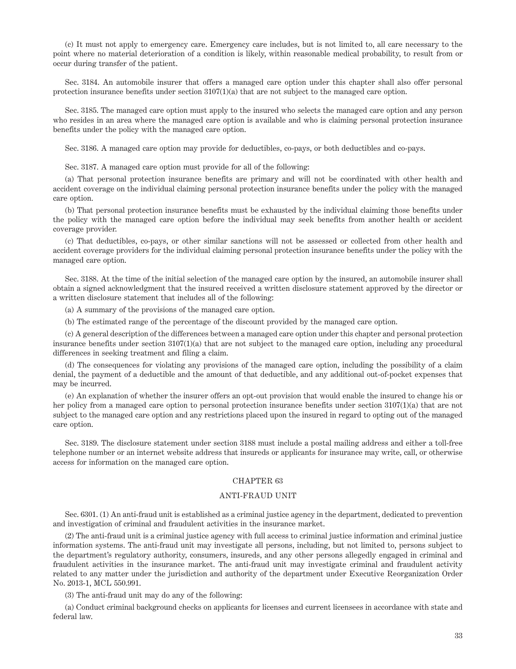(c) It must not apply to emergency care. Emergency care includes, but is not limited to, all care necessary to the point where no material deterioration of a condition is likely, within reasonable medical probability, to result from or occur during transfer of the patient.

Sec. 3184. An automobile insurer that offers a managed care option under this chapter shall also offer personal protection insurance benefits under section 3107(1)(a) that are not subject to the managed care option.

Sec. 3185. The managed care option must apply to the insured who selects the managed care option and any person who resides in an area where the managed care option is available and who is claiming personal protection insurance benefits under the policy with the managed care option.

Sec. 3186. A managed care option may provide for deductibles, co-pays, or both deductibles and co-pays.

Sec. 3187. A managed care option must provide for all of the following:

(a) That personal protection insurance benefits are primary and will not be coordinated with other health and accident coverage on the individual claiming personal protection insurance benefits under the policy with the managed care option.

(b) That personal protection insurance benefits must be exhausted by the individual claiming those benefits under the policy with the managed care option before the individual may seek benefits from another health or accident coverage provider.

(c) That deductibles, co-pays, or other similar sanctions will not be assessed or collected from other health and accident coverage providers for the individual claiming personal protection insurance benefits under the policy with the managed care option.

Sec. 3188. At the time of the initial selection of the managed care option by the insured, an automobile insurer shall obtain a signed acknowledgment that the insured received a written disclosure statement approved by the director or a written disclosure statement that includes all of the following:

(a) A summary of the provisions of the managed care option.

(b) The estimated range of the percentage of the discount provided by the managed care option.

(c) A general description of the differences between a managed care option under this chapter and personal protection insurance benefits under section 3107(1)(a) that are not subject to the managed care option, including any procedural differences in seeking treatment and filing a claim.

(d) The consequences for violating any provisions of the managed care option, including the possibility of a claim denial, the payment of a deductible and the amount of that deductible, and any additional out-of-pocket expenses that may be incurred.

(e) An explanation of whether the insurer offers an opt-out provision that would enable the insured to change his or her policy from a managed care option to personal protection insurance benefits under section 3107(1)(a) that are not subject to the managed care option and any restrictions placed upon the insured in regard to opting out of the managed care option.

Sec. 3189. The disclosure statement under section 3188 must include a postal mailing address and either a toll-free telephone number or an internet website address that insureds or applicants for insurance may write, call, or otherwise access for information on the managed care option.

## CHAPTER 63

## ANTI-FRAUD UNIT

Sec. 6301. (1) An anti-fraud unit is established as a criminal justice agency in the department, dedicated to prevention and investigation of criminal and fraudulent activities in the insurance market.

(2) The anti-fraud unit is a criminal justice agency with full access to criminal justice information and criminal justice information systems. The anti-fraud unit may investigate all persons, including, but not limited to, persons subject to the department's regulatory authority, consumers, insureds, and any other persons allegedly engaged in criminal and fraudulent activities in the insurance market. The anti-fraud unit may investigate criminal and fraudulent activity related to any matter under the jurisdiction and authority of the department under Executive Reorganization Order No. 2013-1, MCL 550.991.

(3) The anti-fraud unit may do any of the following:

(a) Conduct criminal background checks on applicants for licenses and current licensees in accordance with state and federal law.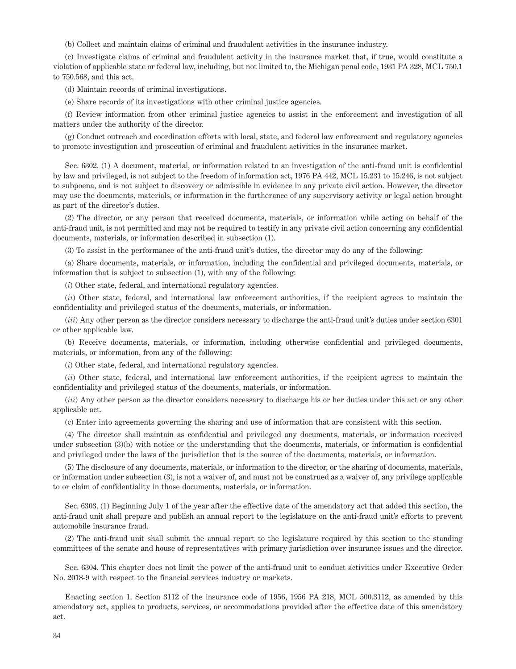(b) Collect and maintain claims of criminal and fraudulent activities in the insurance industry.

(c) Investigate claims of criminal and fraudulent activity in the insurance market that, if true, would constitute a violation of applicable state or federal law, including, but not limited to, the Michigan penal code, 1931 PA 328, MCL 750.1 to 750.568, and this act.

(d) Maintain records of criminal investigations.

(e) Share records of its investigations with other criminal justice agencies.

(f) Review information from other criminal justice agencies to assist in the enforcement and investigation of all matters under the authority of the director.

(g) Conduct outreach and coordination efforts with local, state, and federal law enforcement and regulatory agencies to promote investigation and prosecution of criminal and fraudulent activities in the insurance market.

Sec. 6302. (1) A document, material, or information related to an investigation of the anti-fraud unit is confidential by law and privileged, is not subject to the freedom of information act, 1976 PA 442, MCL 15.231 to 15.246, is not subject to subpoena, and is not subject to discovery or admissible in evidence in any private civil action. However, the director may use the documents, materials, or information in the furtherance of any supervisory activity or legal action brought as part of the director's duties.

(2) The director, or any person that received documents, materials, or information while acting on behalf of the anti-fraud unit, is not permitted and may not be required to testify in any private civil action concerning any confidential documents, materials, or information described in subsection (1).

(3) To assist in the performance of the anti-fraud unit's duties, the director may do any of the following:

(a) Share documents, materials, or information, including the confidential and privileged documents, materials, or information that is subject to subsection (1), with any of the following:

(*i*) Other state, federal, and international regulatory agencies.

(*ii*) Other state, federal, and international law enforcement authorities, if the recipient agrees to maintain the confidentiality and privileged status of the documents, materials, or information.

(*iii*) Any other person as the director considers necessary to discharge the anti-fraud unit's duties under section 6301 or other applicable law.

(b) Receive documents, materials, or information, including otherwise confidential and privileged documents, materials, or information, from any of the following:

(*i*) Other state, federal, and international regulatory agencies.

(*ii*) Other state, federal, and international law enforcement authorities, if the recipient agrees to maintain the confidentiality and privileged status of the documents, materials, or information.

(*iii*) Any other person as the director considers necessary to discharge his or her duties under this act or any other applicable act.

(c) Enter into agreements governing the sharing and use of information that are consistent with this section.

(4) The director shall maintain as confidential and privileged any documents, materials, or information received under subsection (3)(b) with notice or the understanding that the documents, materials, or information is confidential and privileged under the laws of the jurisdiction that is the source of the documents, materials, or information.

(5) The disclosure of any documents, materials, or information to the director, or the sharing of documents, materials, or information under subsection (3), is not a waiver of, and must not be construed as a waiver of, any privilege applicable to or claim of confidentiality in those documents, materials, or information.

Sec. 6303. (1) Beginning July 1 of the year after the effective date of the amendatory act that added this section, the anti-fraud unit shall prepare and publish an annual report to the legislature on the anti-fraud unit's efforts to prevent automobile insurance fraud.

(2) The anti-fraud unit shall submit the annual report to the legislature required by this section to the standing committees of the senate and house of representatives with primary jurisdiction over insurance issues and the director.

Sec. 6304. This chapter does not limit the power of the anti-fraud unit to conduct activities under Executive Order No. 2018-9 with respect to the financial services industry or markets.

Enacting section 1. Section 3112 of the insurance code of 1956, 1956 PA 218, MCL 500.3112, as amended by this amendatory act, applies to products, services, or accommodations provided after the effective date of this amendatory act.